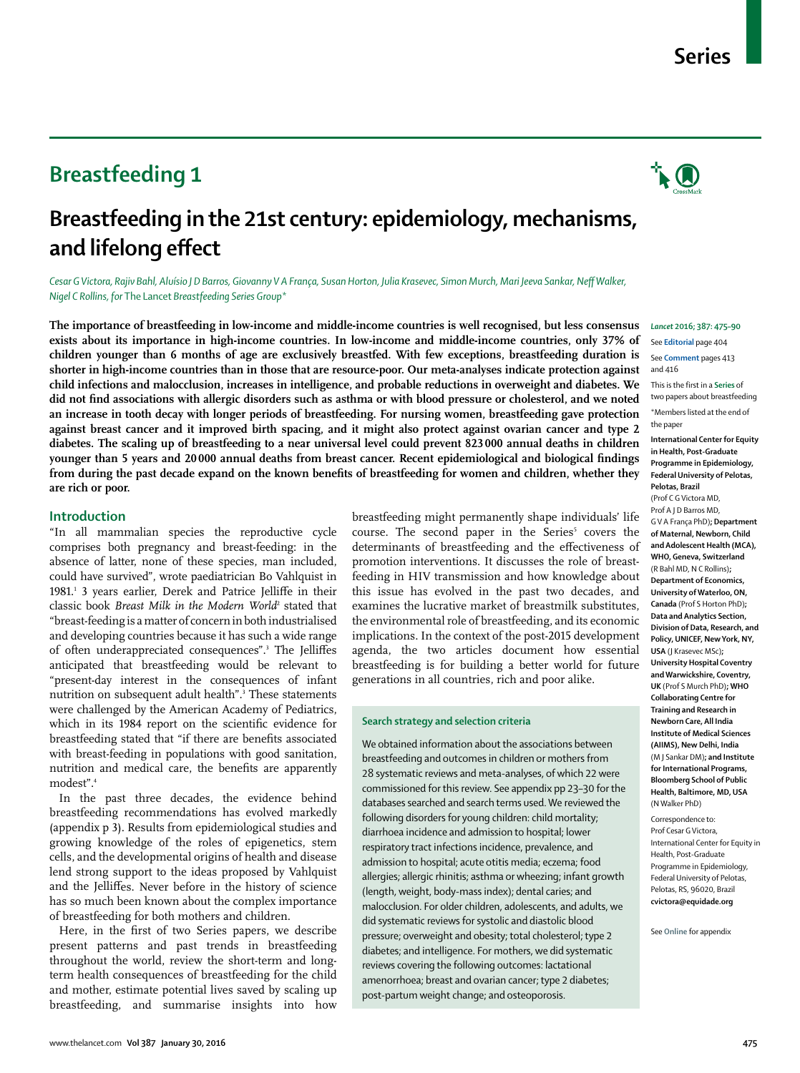# **Breastfeeding in the 21st century: epidemiology, mechanisms,**  and lifelong effect

*Cesar G Victora, Rajiv Bahl, Aluísio J D Barros, Giovanny V A França, Susan Horton, Julia Krasevec, Simon Murch, Mari Jeeva Sankar, Neff Walker, Nigel C Rollins, for* The Lancet *Breastfeeding Series Group\**

**The importance of breastfeeding in low-income and middle-income countries is well recognised, but less consensus exists about its importance in high-income countries. In low-income and middle-income countries, only 37% of children younger than 6 months of age are exclusively breastfed. With few exceptions, breastfeeding duration is shorter in high-income countries than in those that are resource-poor. Our meta-analyses indicate protection against child infections and malocclusion, increases in intelligence, and probable reductions in overweight and diabetes. We**  did not find associations with allergic disorders such as asthma or with blood pressure or cholesterol, and we noted **an increase in tooth decay with longer periods of breastfeeding. For nursing women, breastfeeding gave protection against breast cancer and it improved birth spacing, and it might also protect against ovarian cancer and type 2 diabetes. The scaling up of breastfeeding to a near universal level could prevent 823 000 annual deaths in children**  younger than 5 years and 20 000 annual deaths from breast cancer. Recent epidemiological and biological findings from during the past decade expand on the known benefits of breastfeeding for women and children, whether they **are rich or poor.**

## **Introduction**

**Breastfeeding 1**

"In all mammalian species the reproductive cycle comprises both pregnancy and breast-feeding: in the absence of latter, none of these species, man included, could have survived", wrote paediatrician Bo Vahlquist in 1981.<sup>1</sup> 3 years earlier, Derek and Patrice Jelliffe in their classic book *Breast Milk in the Modern World*<sup>2</sup> stated that "breast-feeding is a matter of concern in both industrialised and developing countries because it has such a wide range of often underappreciated consequences".<sup>3</sup> The Jelliffes anticipated that breastfeeding would be relevant to "present-day interest in the consequences of infant nutrition on subsequent adult health".3 These statements were challenged by the American Academy of Pediatrics, which in its 1984 report on the scientific evidence for breastfeeding stated that "if there are benefits associated with breast-feeding in populations with good sanitation, nutrition and medical care, the benefits are apparently modest".4

In the past three decades, the evidence behind breastfeeding recommendations has evolved markedly (appendix p 3). Results from epidemiological studies and growing knowledge of the roles of epigenetics, stem cells, and the developmental origins of health and disease lend strong support to the ideas proposed by Vahlquist and the Jelliffes. Never before in the history of science has so much been known about the complex importance of breastfeeding for both mothers and children.

Here, in the first of two Series papers, we describe present patterns and past trends in breastfeeding throughout the world, review the short-term and longterm health consequences of breastfeeding for the child and mother, estimate potential lives saved by scaling up breastfeeding, and summarise insights into how breastfeeding might permanently shape individuals' life course. The second paper in the Series<sup>5</sup> covers the determinants of breastfeeding and the effectiveness of promotion interventions. It discusses the role of breastfeeding in HIV transmission and how knowledge about this issue has evolved in the past two decades, and examines the lucrative market of breastmilk substitutes, the environmental role of breastfeeding, and its economic implications. In the context of the post-2015 development agenda, the two articles document how essential breastfeeding is for building a better world for future generations in all countries, rich and poor alike.

#### **Search strategy and selection criteria**

We obtained information about the associations between breastfeeding and outcomes in children or mothers from 28 systematic reviews and meta-analyses, of which 22 were commissioned for this review. See appendix pp 23–30 for the databases searched and search terms used. We reviewed the following disorders for young children: child mortality; diarrhoea incidence and admission to hospital; lower respiratory tract infections incidence, prevalence, and admission to hospital; acute otitis media; eczema; food allergies; allergic rhinitis; asthma or wheezing; infant growth (length, weight, body-mass index); dental caries; and malocclusion. For older children, adolescents, and adults, we did systematic reviews for systolic and diastolic blood pressure; overweight and obesity; total cholesterol; type 2 diabetes; and intelligence. For mothers, we did systematic reviews covering the following outcomes: lactational amenorrhoea; breast and ovarian cancer; type 2 diabetes; post-partum weight change; and osteoporosis.



This is the first in a **Series** of two papers about breastfeeding

\*Members listed at the end of the paper

**International Center for Equity in Health, Post-Graduate Programme in Epidemiology, Federal University of Pelotas, Pelotas, Brazil**  (Prof C G Victora MD, Prof A J D Barros MD, G V A França PhD)**; Department of Maternal, Newborn, Child and Adolescent Health (MCA), WHO, Geneva, Switzerland** (R Bahl MD, N C Rollins)**; Department of Economics, University of Waterloo, ON, Canada** (Prof S Horton PhD)**; Data and Analytics Section, Division of Data, Research, and Policy, UNICEF, New York, NY, USA** (J Krasevec MSc)**; University Hospital Coventry and Warwickshire, Coventry, UK** (Prof S Murch PhD)**; WHO Collaborating Centre for Training and Research in Newborn Care, All India Institute of Medical Sciences (AIIMS), New Delhi, India**  (M J Sankar DM)**; and Institute for International Programs, Bloomberg School of Public Health, Baltimore, MD, USA** (N Walker PhD)

Correspondence to: Prof Cesar G Victora, International Center for Equity in Health, Post-Graduate Programme in Epidemiology, Federal University of Pelotas, Pelotas, RS, 96020, Brazil **cvictora@equidade.org**

See **Online** for appendix

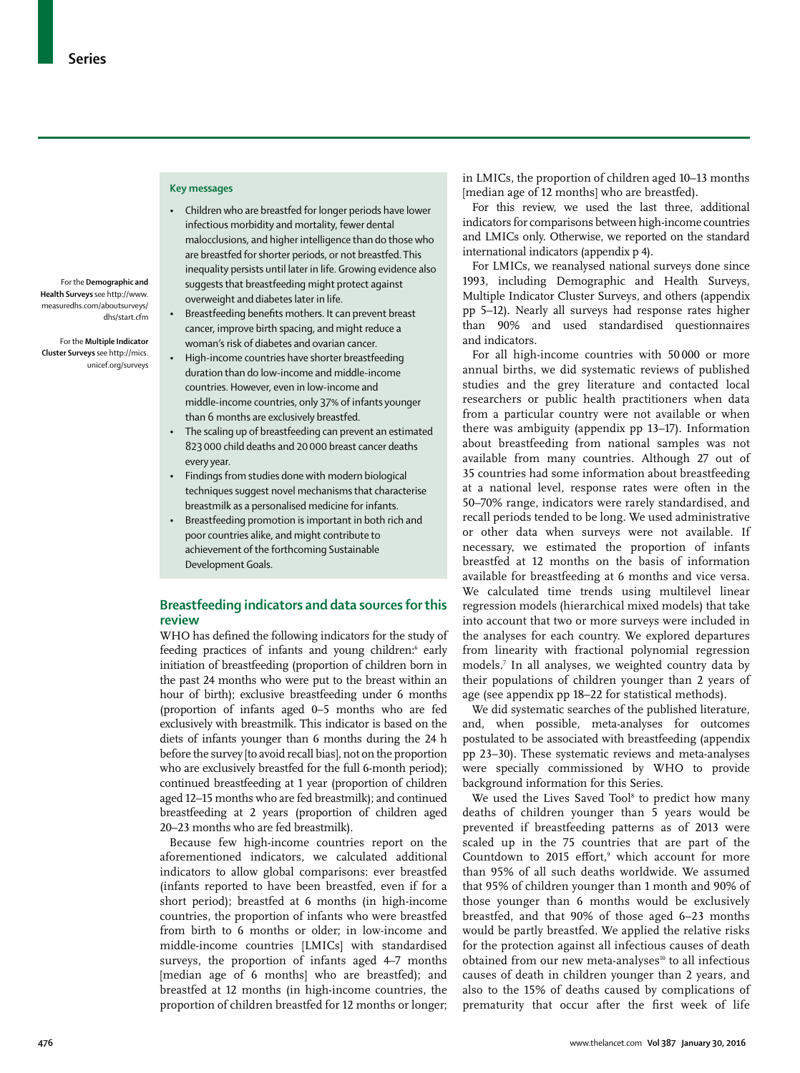For the **Demographic and Health Surveys** see http://www. measuredhs.com/aboutsurveys/ dhs/start.cfm

For the **Multiple Indicator Cluster Surveys** see http://mics. unicef.org/surveys

## **Key messages**

- Children who are breastfed for longer periods have lower infectious morbidity and mortality, fewer dental malocclusions, and higher intelligence than do those who are breastfed for shorter periods, or not breastfed. This inequality persists until later in life. Growing evidence also suggests that breastfeeding might protect against overweight and diabetes later in life.
- Breastfeeding benefits mothers. It can prevent breast cancer, improve birth spacing, and might reduce a woman's risk of diabetes and ovarian cancer.
- High-income countries have shorter breastfeeding duration than do low-income and middle-income countries. However, even in low-income and middle-income countries, only 37% of infants younger than 6 months are exclusively breastfed.
- The scaling up of breastfeeding can prevent an estimated 823 000 child deaths and 20 000 breast cancer deaths every year.
- Findings from studies done with modern biological techniques suggest novel mechanisms that characterise breastmilk as a personalised medicine for infants.
- Breastfeeding promotion is important in both rich and poor countries alike, and might contribute to achievement of the forthcoming Sustainable Development Goals.

# **Breastfeeding indicators and data sources for this review**

WHO has defined the following indicators for the study of feeding practices of infants and young children:<sup>6</sup> early initiation of breastfeeding (proportion of children born in the past 24 months who were put to the breast within an hour of birth); exclusive breastfeeding under 6 months (proportion of infants aged 0–5 months who are fed exclusively with breastmilk. This indicator is based on the diets of infants younger than 6 months during the 24 h before the survey [to avoid recall bias], not on the proportion who are exclusively breastfed for the full 6-month period); continued breastfeeding at 1 year (proportion of children aged 12–15 months who are fed breastmilk); and continued breastfeeding at 2 years (proportion of children aged 20–23 months who are fed breastmilk).

Because few high-income countries report on the aforementioned indicators, we calculated additional indicators to allow global comparisons: ever breastfed (infants reported to have been breastfed, even if for a short period); breastfed at 6 months (in high-income countries, the proportion of infants who were breastfed from birth to 6 months or older; in low-income and middle-income countries [LMICs] with standardised surveys, the proportion of infants aged 4–7 months [median age of 6 months] who are breastfed); and breastfed at 12 months (in high-income countries, the proportion of children breastfed for 12 months or longer;

in LMICs, the proportion of children aged 10–13 months [median age of 12 months] who are breastfed).

For this review, we used the last three, additional indicators for comparisons between high-income countries and LMICs only. Otherwise, we reported on the standard international indicators (appendix p 4).

For LMICs, we reanalysed national surveys done since 1993, including Demographic and Health Surveys, Multiple Indicator Cluster Surveys, and others (appendix pp 5–12). Nearly all surveys had response rates higher than 90% and used standardised questionnaires and indicators.

For all high-income countries with 50 000 or more annual births, we did systematic reviews of published studies and the grey literature and contacted local researchers or public health practitioners when data from a particular country were not available or when there was ambiguity (appendix pp 13–17). Information about breastfeeding from national samples was not available from many countries. Although 27 out of 35 countries had some information about breastfeeding at a national level, response rates were often in the 50–70% range, indicators were rarely standardised, and recall periods tended to be long. We used administrative or other data when surveys were not available. If necessary, we estimated the proportion of infants breastfed at 12 months on the basis of information available for breastfeeding at 6 months and vice versa. We calculated time trends using multilevel linear regression models (hierarchical mixed models) that take into account that two or more surveys were included in the analyses for each country. We explored departures from linearity with fractional polynomial regression models.7 In all analyses, we weighted country data by their populations of children younger than 2 years of age (see appendix pp 18–22 for statistical methods).

We did systematic searches of the published literature, and, when possible, meta-analyses for outcomes postulated to be associated with breastfeeding (appendix pp 23–30). These systematic reviews and meta-analyses were specially commissioned by WHO to provide background information for this Series.

We used the Lives Saved Tool $s$  to predict how many deaths of children younger than 5 years would be prevented if breastfeeding patterns as of 2013 were scaled up in the 75 countries that are part of the Countdown to 2015 effort,<sup>9</sup> which account for more than 95% of all such deaths worldwide. We assumed that 95% of children younger than 1 month and 90% of those younger than 6 months would be exclusively breastfed, and that 90% of those aged 6–23 months would be partly breastfed. We applied the relative risks for the protection against all infectious causes of death obtained from our new meta-analyses<sup>10</sup> to all infectious causes of death in children younger than 2 years, and also to the 15% of deaths caused by complications of prematurity that occur after the first week of life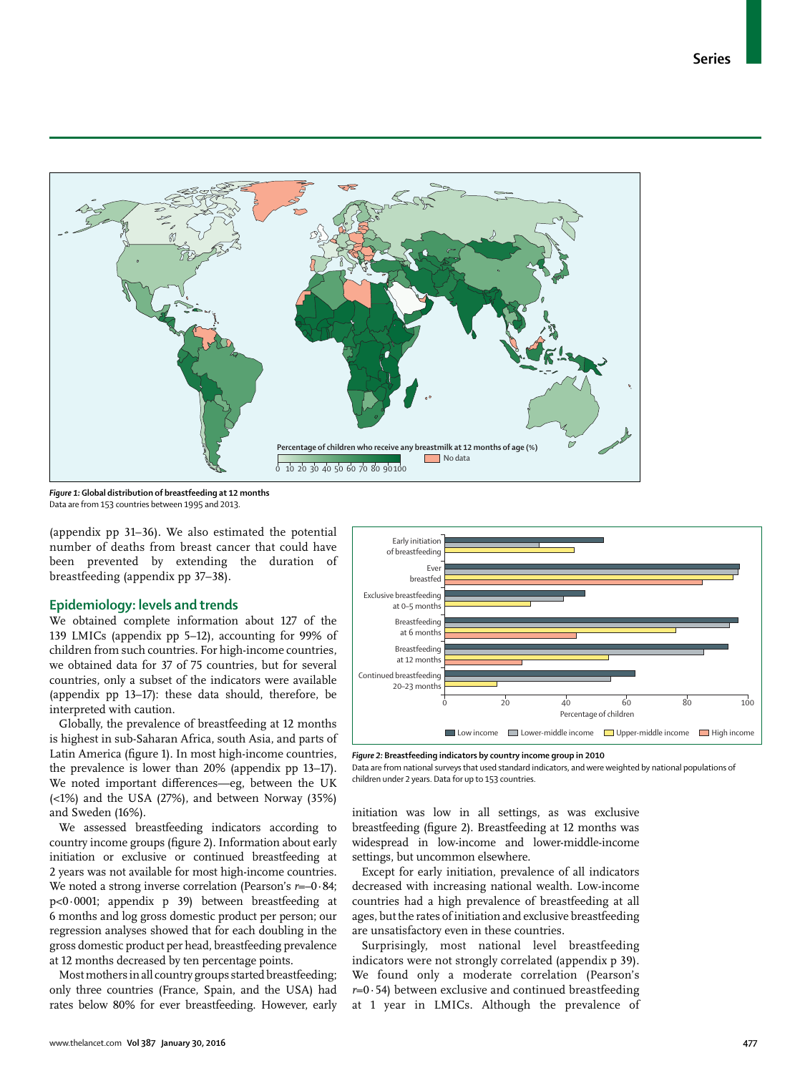

*Figure 1:* **Global distribution of breastfeeding at 12 months** Data are from 153 countries between 1995 and 2013.

(appendix pp 31–36). We also estimated the potential number of deaths from breast cancer that could have been prevented by extending the duration of breastfeeding (appendix pp 37–38).

#### **Epidemiology: levels and trends**

We obtained complete information about 127 of the 139 LMICs (appendix pp 5–12), accounting for 99% of children from such countries. For high-income countries, we obtained data for 37 of 75 countries, but for several countries, only a subset of the indicators were available (appendix pp 13–17): these data should, therefore, be interpreted with caution.

Globally, the prevalence of breastfeeding at 12 months is highest in sub-Saharan Africa, south Asia, and parts of Latin America (figure 1). In most high-income countries, the prevalence is lower than 20% (appendix pp 13–17). We noted important differences—eg, between the UK (<1%) and the USA (27%), and between Norway (35%) and Sweden (16%).

We assessed breastfeeding indicators according to country income groups (figure 2). Information about early initiation or exclusive or continued breastfeeding at 2 years was not available for most high-income countries. We noted a strong inverse correlation (Pearson's *r*=-0·84; p<0·0001; appendix p 39) between breastfeeding at 6 months and log gross domestic product per person; our regression analyses showed that for each doubling in the gross domestic product per head, breastfeeding prevalence at 12 months decreased by ten percentage points.

Most mothers in all country groups started breastfeeding; only three countries (France, Spain, and the USA) had rates below 80% for ever breastfeeding. However, early



*Figure 2:* **Breastfeeding indicators by country income group in 2010**

Data are from national surveys that used standard indicators, and were weighted by national populations of children under 2 years. Data for up to 153 countries.

initiation was low in all settings, as was exclusive breastfeeding (figure 2). Breastfeeding at 12 months was widespread in low-income and lower-middle-income settings, but uncommon elsewhere.

Except for early initiation, prevalence of all indicators decreased with increasing national wealth. Low-income countries had a high prevalence of breastfeeding at all ages, but the rates of initiation and exclusive breastfeeding are unsatisfactory even in these countries.

Surprisingly, most national level breastfeeding indicators were not strongly correlated (appendix p 39). We found only a moderate correlation (Pearson's *r*=0·54) between exclusive and continued breastfeeding at 1 year in LMICs. Although the prevalence of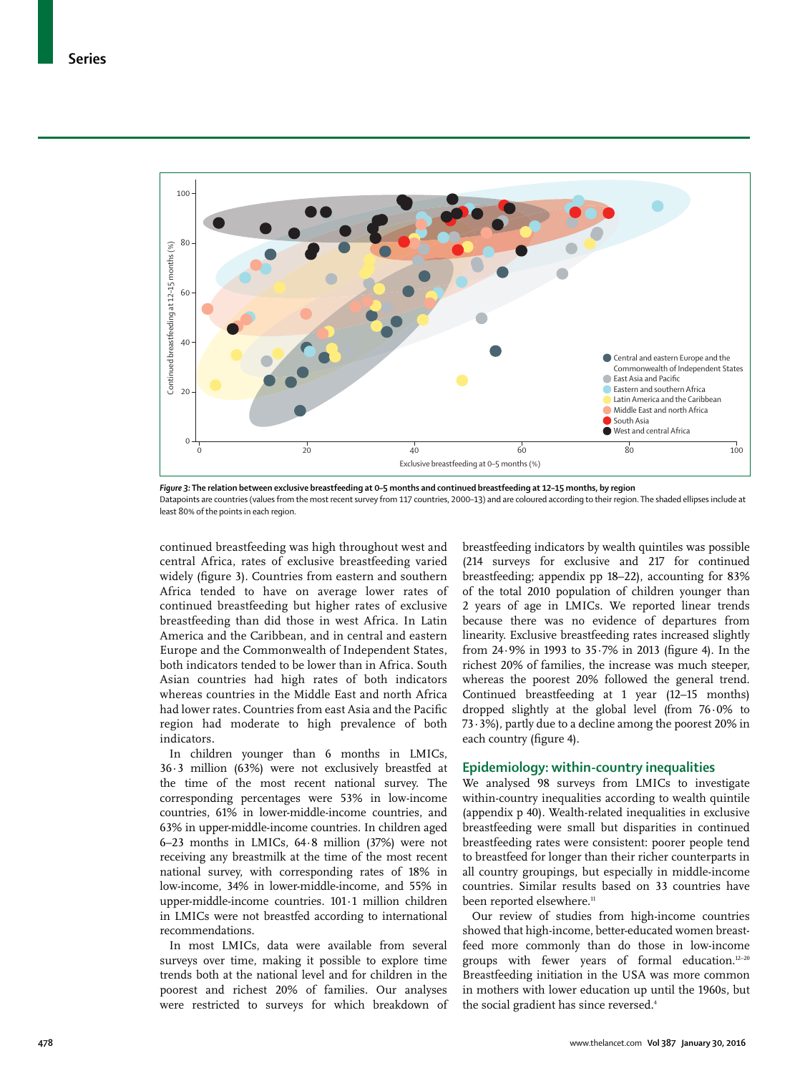

*Figure 3:* **The relation between exclusive breastfeeding at 0–5 months and continued breastfeeding at 12–15 months, by region** Datapoints are countries (values from the most recent survey from 117 countries, 2000–13) and are coloured according to their region. The shaded ellipses include at least 80% of the points in each region.

continued breastfeeding was high throughout west and central Africa, rates of exclusive breastfeeding varied widely (figure 3). Countries from eastern and southern Africa tended to have on average lower rates of continued breastfeeding but higher rates of exclusive breastfeeding than did those in west Africa. In Latin America and the Caribbean, and in central and eastern Europe and the Commonwealth of Independent States, both indicators tended to be lower than in Africa. South Asian countries had high rates of both indicators whereas countries in the Middle East and north Africa had lower rates. Countries from east Asia and the Pacific region had moderate to high prevalence of both indicators.

In children younger than 6 months in LMICs, 36·3 million (63%) were not exclusively breastfed at the time of the most recent national survey. The corresponding percentages were 53% in low-income countries, 61% in lower-middle-income countries, and 63% in upper-middle-income countries. In children aged 6–23 months in LMICs, 64·8 million (37%) were not receiving any breastmilk at the time of the most recent national survey, with corresponding rates of 18% in low-income, 34% in lower-middle-income, and 55% in upper-middle-income countries. 101·1 million children in LMICs were not breastfed according to international recommendations.

In most LMICs, data were available from several surveys over time, making it possible to explore time trends both at the national level and for children in the poorest and richest 20% of families. Our analyses were restricted to surveys for which breakdown of breastfeeding indicators by wealth quintiles was possible (214 surveys for exclusive and 217 for continued breastfeeding; appendix pp 18–22), accounting for 83% of the total 2010 population of children younger than 2 years of age in LMICs. We reported linear trends because there was no evidence of departures from linearity. Exclusive breastfeeding rates increased slightly from  $24.9\%$  in 1993 to  $35.7\%$  in 2013 (figure 4). In the richest 20% of families, the increase was much steeper, whereas the poorest 20% followed the general trend. Continued breastfeeding at 1 year (12–15 months) dropped slightly at the global level (from 76·0% to 73·3%), partly due to a decline among the poorest 20% in each country (figure 4).

#### **Epidemiology: within-country inequalities**

We analysed 98 surveys from LMICs to investigate within-country inequalities according to wealth quintile (appendix p 40). Wealth-related inequalities in exclusive breastfeeding were small but disparities in continued breastfeeding rates were consistent: poorer people tend to breastfeed for longer than their richer counterparts in all country groupings, but especially in middle-income countries. Similar results based on 33 countries have been reported elsewhere.<sup>11</sup>

Our review of studies from high-income countries showed that high-income, better-educated women breastfeed more commonly than do those in low-income groups with fewer years of formal education.12–20 Breastfeeding initiation in the USA was more common in mothers with lower education up until the 1960s, but the social gradient has since reversed.<sup>4</sup>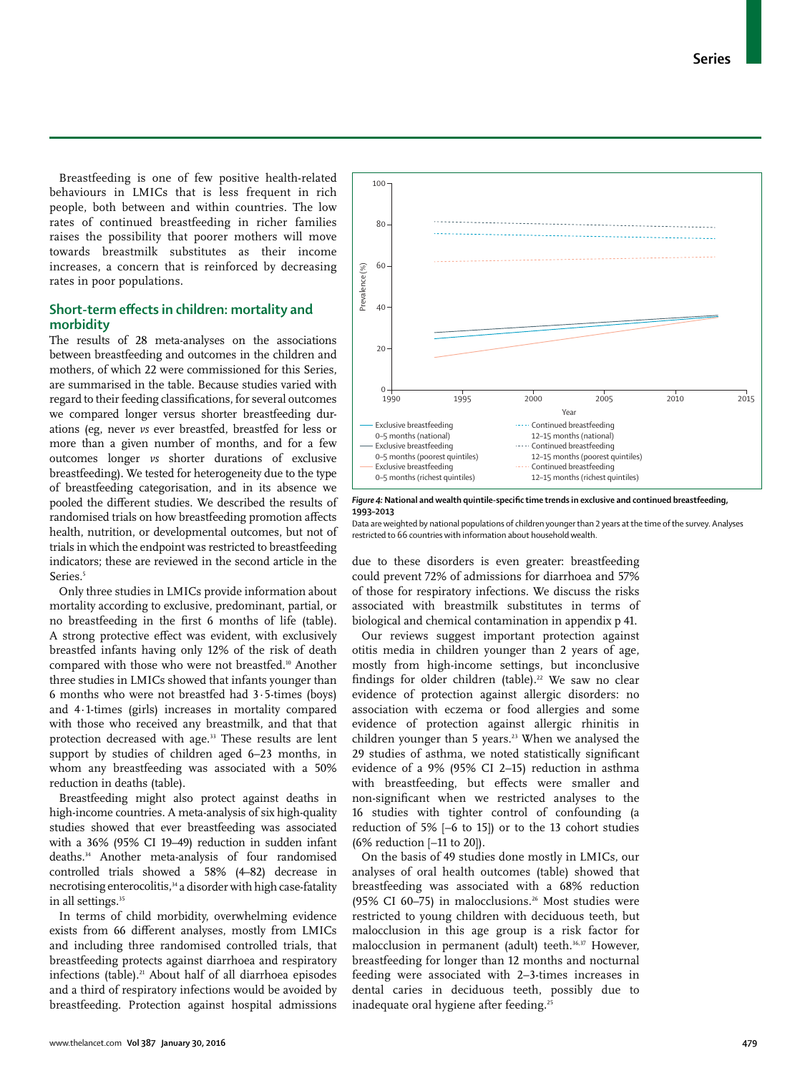Breastfeeding is one of few positive health-related behaviours in LMICs that is less frequent in rich people, both between and within countries. The low rates of continued breastfeeding in richer families raises the possibility that poorer mothers will move towards breastmilk substitutes as their income increases, a concern that is reinforced by decreasing rates in poor populations.

# **Short-term effects in children: mortality and morbidity**

The results of 28 meta-analyses on the associations between breastfeeding and outcomes in the children and mothers, of which 22 were commissioned for this Series, are summarised in the table. Because studies varied with regard to their feeding classifications, for several outcomes we compared longer versus shorter breastfeeding durations (eg, never *vs* ever breastfed, breastfed for less or more than a given number of months, and for a few outcomes longer *vs* shorter durations of exclusive breastfeeding). We tested for heterogeneity due to the type of breastfeeding categorisation, and in its absence we pooled the different studies. We described the results of randomised trials on how breastfeeding promotion affects health, nutrition, or developmental outcomes, but not of trials in which the endpoint was restricted to breastfeeding indicators; these are reviewed in the second article in the Series.<sup>5</sup>

Only three studies in LMICs provide information about mortality according to exclusive, predominant, partial, or no breastfeeding in the first 6 months of life (table). A strong protective effect was evident, with exclusively breastfed infants having only 12% of the risk of death compared with those who were not breastfed.10 Another three studies in LMICs showed that infants younger than 6 months who were not breastfed had 3·5-times (boys) and 4·1-times (girls) increases in mortality compared with those who received any breastmilk, and that that protection decreased with age.33 These results are lent support by studies of children aged 6–23 months, in whom any breastfeeding was associated with a 50% reduction in deaths (table).

Breastfeeding might also protect against deaths in high-income countries. A meta-analysis of six high-quality studies showed that ever breastfeeding was associated with a 36% (95% CI 19–49) reduction in sudden infant deaths.34 Another meta-analysis of four randomised controlled trials showed a 58% (4–82) decrease in necrotising enterocolitis,<sup>34</sup> a disorder with high case-fatality in all settings.<sup>35</sup>

In terms of child morbidity, overwhelming evidence exists from 66 different analyses, mostly from LMICs and including three randomised controlled trials, that breastfeeding protects against diarrhoea and respiratory infections (table).<sup>21</sup> About half of all diarrhoea episodes and a third of respiratory infections would be avoided by breastfeeding. Protection against hospital admissions



Figure 4: National and wealth quintile-specific time trends in exclusive and continued breastfeeding, **1993–2013**

Data are weighted by national populations of children younger than 2 years at the time of the survey. Analyses restricted to 66 countries with information about household wealth.

due to these disorders is even greater: breastfeeding could prevent 72% of admissions for diarrhoea and 57% of those for respiratory infections. We discuss the risks associated with breastmilk substitutes in terms of biological and chemical contamination in appendix p 41.

Our reviews suggest important protection against otitis media in children younger than 2 years of age, mostly from high-income settings, but inconclusive findings for older children (table).<sup>22</sup> We saw no clear evidence of protection against allergic disorders: no association with eczema or food allergies and some evidence of protection against allergic rhinitis in children younger than 5 years.<sup>23</sup> When we analysed the 29 studies of asthma, we noted statistically significant evidence of a 9% (95% CI 2–15) reduction in asthma with breastfeeding, but effects were smaller and non-significant when we restricted analyses to the 16 studies with tighter control of confounding (a reduction of 5% [−6 to 15]) or to the 13 cohort studies (6% reduction [−11 to 20]).

On the basis of 49 studies done mostly in LMICs, our analyses of oral health outcomes (table) showed that breastfeeding was associated with a 68% reduction (95% CI 60-75) in malocclusions.<sup>26</sup> Most studies were restricted to young children with deciduous teeth, but malocclusion in this age group is a risk factor for malocclusion in permanent (adult) teeth.<sup>36,37</sup> However, breastfeeding for longer than 12 months and nocturnal feeding were associated with 2–3-times increases in dental caries in deciduous teeth, possibly due to inadequate oral hygiene after feeding.25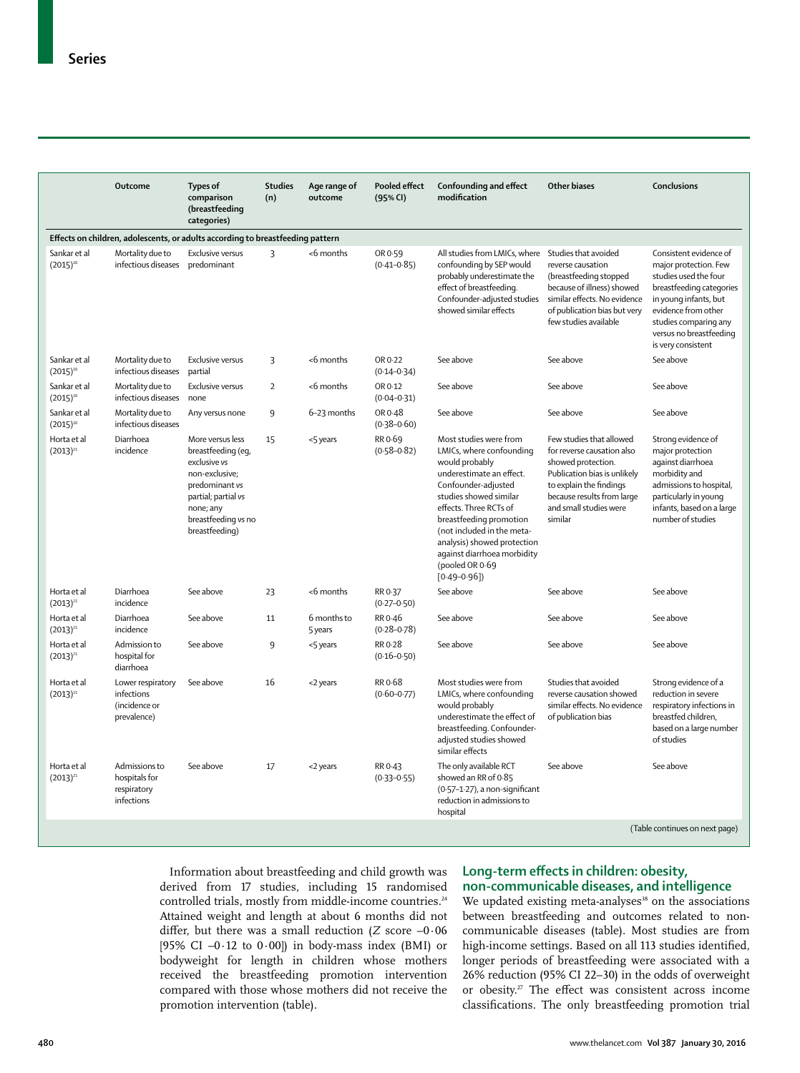|                                                                                | Outcome                                                         | <b>Types of</b><br>comparison<br>(breastfeeding<br>categories)                                                                                                          | <b>Studies</b><br>(n) | Age range of<br>outcome | Pooled effect<br>(95% CI)  | Confounding and effect<br>modification                                                                                                                                                                                                                                                                                                   | Other biases                                                                                                                                                                                               | <b>Conclusions</b>                                                                                                                                                                                                             |  |
|--------------------------------------------------------------------------------|-----------------------------------------------------------------|-------------------------------------------------------------------------------------------------------------------------------------------------------------------------|-----------------------|-------------------------|----------------------------|------------------------------------------------------------------------------------------------------------------------------------------------------------------------------------------------------------------------------------------------------------------------------------------------------------------------------------------|------------------------------------------------------------------------------------------------------------------------------------------------------------------------------------------------------------|--------------------------------------------------------------------------------------------------------------------------------------------------------------------------------------------------------------------------------|--|
| Effects on children, adolescents, or adults according to breastfeeding pattern |                                                                 |                                                                                                                                                                         |                       |                         |                            |                                                                                                                                                                                                                                                                                                                                          |                                                                                                                                                                                                            |                                                                                                                                                                                                                                |  |
| Sankar et al<br>$(2015)^{10}$                                                  | Mortality due to<br>infectious diseases                         | Exclusive versus<br>predominant                                                                                                                                         | 3                     | <6 months               | OR 0-59<br>$(0.41 - 0.85)$ | All studies from LMICs, where<br>confounding by SEP would<br>probably underestimate the<br>effect of breastfeeding.<br>Confounder-adjusted studies<br>showed similar effects                                                                                                                                                             | Studies that avoided<br>reverse causation<br>(breastfeeding stopped<br>because of illness) showed<br>similar effects. No evidence<br>of publication bias but very<br>few studies available                 | Consistent evidence of<br>major protection. Few<br>studies used the four<br>breastfeeding categories<br>in young infants, but<br>evidence from other<br>studies comparing any<br>versus no breastfeeding<br>is very consistent |  |
| Sankar et al<br>$(2015)^{10}$                                                  | Mortality due to<br>infectious diseases                         | Exclusive versus<br>partial                                                                                                                                             | 3                     | <6 months               | OR 0-22<br>$(0.14 - 0.34)$ | See above                                                                                                                                                                                                                                                                                                                                | See above                                                                                                                                                                                                  | See above                                                                                                                                                                                                                      |  |
| Sankar et al<br>$(2015)^{10}$                                                  | Mortality due to<br>infectious diseases                         | Exclusive versus<br>none                                                                                                                                                | 2                     | <6 months               | OR 0-12<br>$(0.04 - 0.31)$ | See above                                                                                                                                                                                                                                                                                                                                | See above                                                                                                                                                                                                  | See above                                                                                                                                                                                                                      |  |
| Sankar et al<br>$(2015)^{10}$                                                  | Mortality due to<br>infectious diseases                         | Any versus none                                                                                                                                                         | 9                     | 6-23 months             | OR 0-48<br>$(0.38 - 0.60)$ | See above                                                                                                                                                                                                                                                                                                                                | See above                                                                                                                                                                                                  | See above                                                                                                                                                                                                                      |  |
| Horta et al<br>$(2013)^{21}$                                                   | Diarrhoea<br>incidence                                          | More versus less<br>breastfeeding (eq,<br>exclusive vs<br>non-exclusive;<br>predominant vs<br>partial; partial vs<br>none; any<br>breastfeeding vs no<br>breastfeeding) | 15                    | <5 years                | RR 0.69<br>$(0.58 - 0.82)$ | Most studies were from<br>LMICs, where confounding<br>would probably<br>underestimate an effect.<br>Confounder-adjusted<br>studies showed similar<br>effects. Three RCTs of<br>breastfeeding promotion<br>(not included in the meta-<br>analysis) showed protection<br>against diarrhoea morbidity<br>(pooled OR 0.69<br>$[0.49 - 0.96]$ | Few studies that allowed<br>for reverse causation also<br>showed protection.<br>Publication bias is unlikely<br>to explain the findings<br>because results from large<br>and small studies were<br>similar | Strong evidence of<br>major protection<br>against diarrhoea<br>morbidity and<br>admissions to hospital,<br>particularly in young<br>infants, based on a large<br>number of studies                                             |  |
| Horta et al<br>$(2013)^{21}$                                                   | Diarrhoea<br>incidence                                          | See above                                                                                                                                                               | 23                    | <6 months               | RR 0-37<br>$(0.27 - 0.50)$ | See above                                                                                                                                                                                                                                                                                                                                | See above                                                                                                                                                                                                  | See above                                                                                                                                                                                                                      |  |
| Horta et al<br>$(2013)^{21}$                                                   | Diarrhoea<br>incidence                                          | See above                                                                                                                                                               | 11                    | 6 months to<br>5 years  | RR 0-46<br>$(0.28 - 0.78)$ | See above                                                                                                                                                                                                                                                                                                                                | See above                                                                                                                                                                                                  | See above                                                                                                                                                                                                                      |  |
| Horta et al<br>$(2013)^{21}$                                                   | Admission to<br>hospital for<br>diarrhoea                       | See above                                                                                                                                                               | $\overline{9}$        | <5 years                | RR 0-28<br>$(0.16 - 0.50)$ | See above                                                                                                                                                                                                                                                                                                                                | See above                                                                                                                                                                                                  | See above                                                                                                                                                                                                                      |  |
| Horta et al<br>$(2013)^{21}$                                                   | Lower respiratory<br>infections<br>(incidence or<br>prevalence) | See above                                                                                                                                                               | 16                    | <2 years                | RR 0-68<br>$(0.60 - 0.77)$ | Most studies were from<br>LMICs, where confounding<br>would probably<br>underestimate the effect of<br>breastfeeding. Confounder-<br>adjusted studies showed<br>similar effects                                                                                                                                                          | Studies that avoided<br>reverse causation showed<br>similar effects. No evidence<br>of publication bias                                                                                                    | Strong evidence of a<br>reduction in severe<br>respiratory infections in<br>breastfed children,<br>based on a large number<br>of studies                                                                                       |  |
| Horta et al<br>$(2013)^{21}$                                                   | Admissions to<br>hospitals for<br>respiratory<br>infections     | See above                                                                                                                                                               | 17                    | <2 years                | RR 0-43<br>$(0.33 - 0.55)$ | The only available RCT<br>showed an RR of 0.85<br>(0.57-1.27), a non-significant<br>reduction in admissions to<br>hospital                                                                                                                                                                                                               | See above                                                                                                                                                                                                  | See above                                                                                                                                                                                                                      |  |
|                                                                                |                                                                 |                                                                                                                                                                         |                       |                         |                            |                                                                                                                                                                                                                                                                                                                                          |                                                                                                                                                                                                            | (Table continues on next page)                                                                                                                                                                                                 |  |

Information about breastfeeding and child growth was derived from 17 studies, including 15 randomised controlled trials, mostly from middle-income countries.<sup>24</sup> Attained weight and length at about 6 months did not differ, but there was a small reduction (*Z* score −0·06 [95% CI  $-0.12$  to  $0.00$ ]) in body-mass index (BMI) or bodyweight for length in children whose mothers received the breastfeeding promotion intervention compared with those whose mothers did not receive the promotion intervention (table).

# Long-term effects in children: obesity, **non-communicable diseases, and intelligence**

We updated existing meta-analyses<sup>38</sup> on the associations between breastfeeding and outcomes related to noncommunicable diseases (table). Most studies are from high-income settings. Based on all 113 studies identified, longer periods of breastfeeding were associated with a 26% reduction (95% CI 22–30) in the odds of overweight or obesity.<sup>27</sup> The effect was consistent across income classifications. The only breastfeeding promotion trial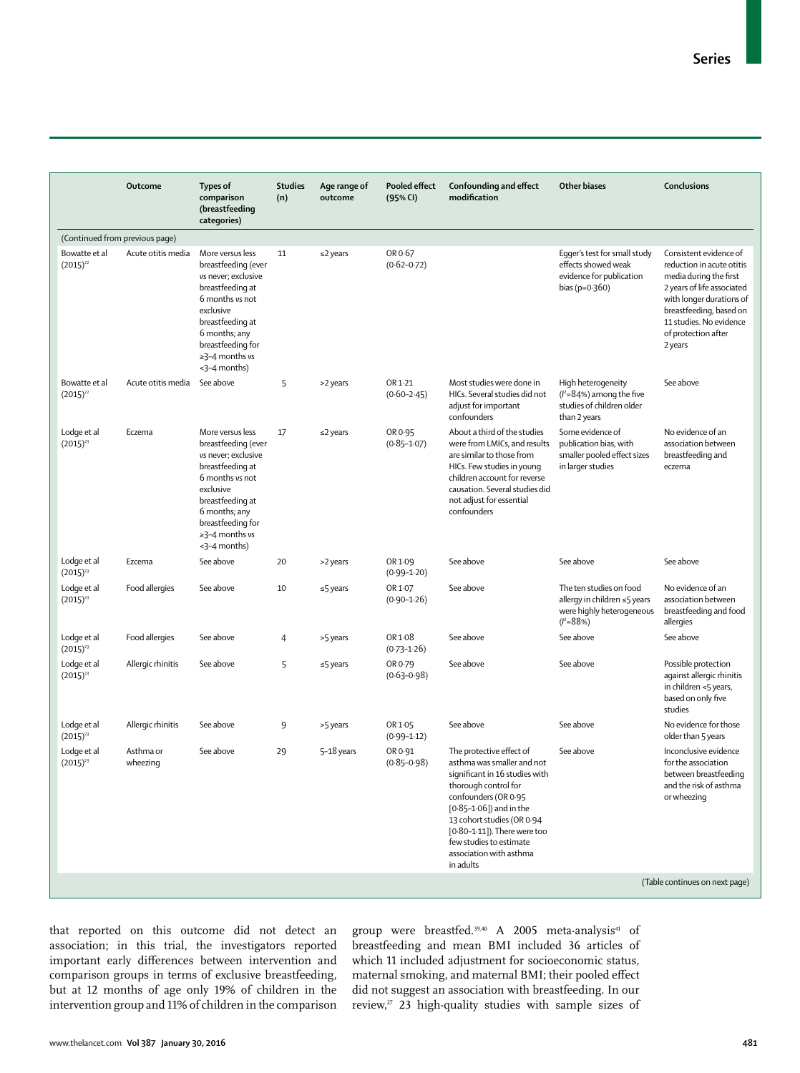|                                | Outcome                        | Types of<br>comparison<br>(breastfeeding<br>categories)                                                                                                                                                              | <b>Studies</b><br>(n) | Age range of<br>outcome | Pooled effect<br>(95% CI)  | Confounding and effect<br>modification                                                                                                                                                                                                                                                                         | Other biases                                                                                           | <b>Conclusions</b>                                                                                                                                                                                                              |
|--------------------------------|--------------------------------|----------------------------------------------------------------------------------------------------------------------------------------------------------------------------------------------------------------------|-----------------------|-------------------------|----------------------------|----------------------------------------------------------------------------------------------------------------------------------------------------------------------------------------------------------------------------------------------------------------------------------------------------------------|--------------------------------------------------------------------------------------------------------|---------------------------------------------------------------------------------------------------------------------------------------------------------------------------------------------------------------------------------|
|                                | (Continued from previous page) |                                                                                                                                                                                                                      |                       |                         |                            |                                                                                                                                                                                                                                                                                                                |                                                                                                        |                                                                                                                                                                                                                                 |
| Bowatte et al<br>$(2015)^{22}$ | Acute otitis media             | More versus less<br>breastfeeding (ever<br>vs never; exclusive<br>breastfeeding at<br>6 months vs not<br>exclusive<br>breastfeeding at<br>6 months; any<br>breastfeeding for<br>$\geq$ 3-4 months vs<br><3-4 months) | 11                    | $\leq$ 2 years          | OR 0.67<br>$(0.62 - 0.72)$ |                                                                                                                                                                                                                                                                                                                | Egger's test for small study<br>effects showed weak<br>evidence for publication<br>bias ( $p=0.360$ )  | Consistent evidence of<br>reduction in acute otitis<br>media during the first<br>2 years of life associated<br>with longer durations of<br>breastfeeding, based on<br>11 studies. No evidence<br>of protection after<br>2 years |
| Bowatte et al<br>$(2015)^{22}$ | Acute otitis media             | See above                                                                                                                                                                                                            | 5                     | >2 years                | OR 1.21<br>$(0.60 - 2.45)$ | Most studies were done in<br>HICs. Several studies did not<br>adjust for important<br>confounders                                                                                                                                                                                                              | High heterogeneity<br>$(I^2=84\%)$ among the five<br>studies of children older<br>than 2 years         | See above                                                                                                                                                                                                                       |
| Lodge et al<br>$(2015)^{23}$   | Eczema                         | More versus less<br>breastfeeding (ever<br>vs never; exclusive<br>breastfeeding at<br>6 months vs not<br>exclusive<br>breastfeeding at<br>6 months; any<br>breastfeeding for<br>$\geq$ 3-4 months vs<br><3-4 months) | 17                    | $\leq$ 2 years          | OR 0.95<br>$(0.85 - 1.07)$ | About a third of the studies<br>were from LMICs, and results<br>are similar to those from<br>HICs. Few studies in young<br>children account for reverse<br>causation. Several studies did<br>not adjust for essential<br>confounders                                                                           | Some evidence of<br>publication bias, with<br>smaller pooled effect sizes<br>in larger studies         | No evidence of an<br>association between<br>breastfeeding and<br>eczema                                                                                                                                                         |
| Lodge et al<br>$(2015)^{23}$   | Ezcema                         | See above                                                                                                                                                                                                            | 20                    | >2 years                | OR 1.09<br>$(0.99 - 1.20)$ | See above                                                                                                                                                                                                                                                                                                      | See above                                                                                              | See above                                                                                                                                                                                                                       |
| Lodge et al<br>$(2015)^{23}$   | Food allergies                 | See above                                                                                                                                                                                                            | 10                    | $\leq$ 5 years          | OR 1.07<br>$(0.90 - 1.26)$ | See above                                                                                                                                                                                                                                                                                                      | The ten studies on food<br>allergy in children ≤5 years<br>were highly heterogeneous<br>$(I^2 = 88\%)$ | No evidence of an<br>association between<br>breastfeeding and food<br>allergies                                                                                                                                                 |
| Lodge et al<br>$(2015)^{23}$   | Food allergies                 | See above                                                                                                                                                                                                            | 4                     | >5 years                | OR 1.08<br>$(0.73 - 1.26)$ | See above                                                                                                                                                                                                                                                                                                      | See above                                                                                              | See above                                                                                                                                                                                                                       |
| Lodge et al<br>$(2015)^{23}$   | Allergic rhinitis              | See above                                                                                                                                                                                                            | 5                     | $\leq$ 5 years          | OR 0.79<br>$(0.63 - 0.98)$ | See above                                                                                                                                                                                                                                                                                                      | See above                                                                                              | Possible protection<br>against allergic rhinitis<br>in children <5 years,<br>based on only five<br>studies                                                                                                                      |
| Lodge et al<br>$(2015)^{23}$   | Allergic rhinitis              | See above                                                                                                                                                                                                            | 9                     | >5 years                | OR 1.05<br>$(0.99 - 1.12)$ | See above                                                                                                                                                                                                                                                                                                      | See above                                                                                              | No evidence for those<br>older than 5 years                                                                                                                                                                                     |
| Lodge et al<br>$(2015)^{23}$   | Asthma or<br>wheezing          | See above                                                                                                                                                                                                            | 29                    | 5-18 years              | OR 0-91<br>$(0.85 - 0.98)$ | The protective effect of<br>asthma was smaller and not<br>significant in 16 studies with<br>thorough control for<br>confounders (OR 0.95<br>$[0.85 - 1.06]$ ) and in the<br>13 cohort studies (OR 0-94<br>$[0.80 - 1.11]$ ). There were too<br>few studies to estimate<br>association with asthma<br>in adults | See above                                                                                              | Inconclusive evidence<br>for the association<br>between breastfeeding<br>and the risk of asthma<br>or wheezing                                                                                                                  |
|                                |                                |                                                                                                                                                                                                                      |                       |                         |                            |                                                                                                                                                                                                                                                                                                                |                                                                                                        | (Table continues on next page)                                                                                                                                                                                                  |

that reported on this outcome did not detect an association; in this trial, the investigators reported important early differences between intervention and comparison groups in terms of exclusive breastfeeding, but at 12 months of age only 19% of children in the intervention group and 11% of children in the comparison group were breastfed.<sup>39,40</sup> A 2005 meta-analysis<sup>41</sup> of breastfeeding and mean BMI included 36 articles of which 11 included adjustment for socioeconomic status, maternal smoking, and maternal BMI; their pooled effect did not suggest an association with breastfeeding. In our review,<sup>27</sup> 23 high-quality studies with sample sizes of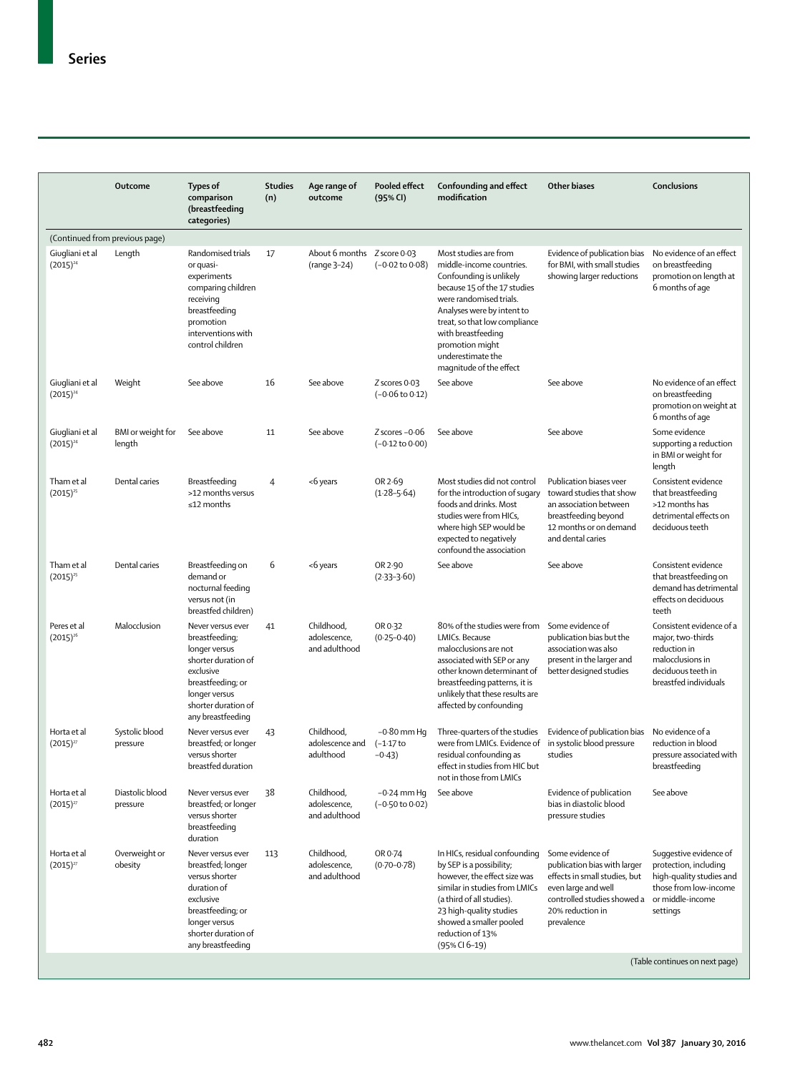|                                  | Outcome                     | Types of<br>comparison<br>(breastfeeding<br>categories)                                                                                                                    | <b>Studies</b><br>(n) | Age range of<br>outcome                       | Pooled effect<br>(95% CI)                      | Confounding and effect<br>modification                                                                                                                                                                                                                                                          | Other biases                                                                                                                                                              | Conclusions                                                                                                                          |
|----------------------------------|-----------------------------|----------------------------------------------------------------------------------------------------------------------------------------------------------------------------|-----------------------|-----------------------------------------------|------------------------------------------------|-------------------------------------------------------------------------------------------------------------------------------------------------------------------------------------------------------------------------------------------------------------------------------------------------|---------------------------------------------------------------------------------------------------------------------------------------------------------------------------|--------------------------------------------------------------------------------------------------------------------------------------|
| (Continued from previous page)   |                             |                                                                                                                                                                            |                       |                                               |                                                |                                                                                                                                                                                                                                                                                                 |                                                                                                                                                                           |                                                                                                                                      |
| Giugliani et al<br>$(2015)^{24}$ | Length                      | Randomised trials<br>or quasi-<br>experiments<br>comparing children<br>receiving<br>breastfeeding<br>promotion<br>interventions with<br>control children                   | 17                    | About 6 months Z score 0.03<br>$(range 3-24)$ | $(-0.02 \text{ to } 0.08)$                     | Most studies are from<br>middle-income countries.<br>Confounding is unlikely<br>because 15 of the 17 studies<br>were randomised trials.<br>Analyses were by intent to<br>treat, so that low compliance<br>with breastfeeding<br>promotion might<br>underestimate the<br>magnitude of the effect | Evidence of publication bias<br>for BMI, with small studies<br>showing larger reductions                                                                                  | No evidence of an effect<br>on breastfeeding<br>promotion on length at<br>6 months of age                                            |
| Giugliani et al<br>$(2015)^{24}$ | Weight                      | See above                                                                                                                                                                  | 16                    | See above                                     | Z scores 0.03<br>$(-0.06 \text{ to } 0.12)$    | See above                                                                                                                                                                                                                                                                                       | See above                                                                                                                                                                 | No evidence of an effect<br>on breastfeeding<br>promotion on weight at<br>6 months of age                                            |
| Giugliani et al<br>$(2015)^{24}$ | BMI or weight for<br>length | See above                                                                                                                                                                  | 11                    | See above                                     | Z scores $-0.06$<br>$(-0.12 \text{ to } 0.00)$ | See above                                                                                                                                                                                                                                                                                       | See above                                                                                                                                                                 | Some evidence<br>supporting a reduction<br>in BMI or weight for<br>length                                                            |
| Tham et al<br>$(2015)^{25}$      | Dental caries               | Breastfeeding<br>>12 months versus<br>≤12 months                                                                                                                           | $\overline{4}$        | <6 years                                      | OR 2.69<br>$(1.28 - 5.64)$                     | Most studies did not control<br>for the introduction of sugary<br>foods and drinks. Most<br>studies were from HICs,<br>where high SEP would be<br>expected to negatively<br>confound the association                                                                                            | Publication biases veer<br>toward studies that show<br>an association between<br>breastfeeding beyond<br>12 months or on demand<br>and dental caries                      | Consistent evidence<br>that breastfeeding<br>>12 months has<br>detrimental effects on<br>deciduous teeth                             |
| Tham et al<br>$(2015)^{25}$      | Dental caries               | Breastfeeding on<br>demand or<br>nocturnal feeding<br>versus not (in<br>breastfed children)                                                                                | 6                     | <6 years                                      | OR 2-90<br>$(2.33 - 3.60)$                     | See above                                                                                                                                                                                                                                                                                       | See above                                                                                                                                                                 | Consistent evidence<br>that breastfeeding on<br>demand has detrimental<br>effects on deciduous<br>teeth                              |
| Peres et al<br>$(2015)^{26}$     | Malocclusion                | Never versus ever<br>breastfeeding;<br>longer versus<br>shorter duration of<br>exclusive<br>breastfeeding; or<br>longer versus<br>shorter duration of<br>any breastfeeding | 41                    | Childhood,<br>adolescence,<br>and adulthood   | OR 0-32<br>$(0.25 - 0.40)$                     | 80% of the studies were from Some evidence of<br>LMICs. Because<br>malocclusions are not<br>associated with SEP or any<br>other known determinant of<br>breastfeeding patterns, it is<br>unlikely that these results are<br>affected by confounding                                             | publication bias but the<br>association was also<br>present in the larger and<br>better designed studies                                                                  | Consistent evidence of a<br>major, two-thirds<br>reduction in<br>malocclusions in<br>deciduous teeth in<br>breastfed individuals     |
| Horta et al<br>$(2015)^{27}$     | Systolic blood<br>pressure  | Never versus ever<br>breastfed; or longer<br>versus shorter<br>breastfed duration                                                                                          | 43                    | Childhood,<br>adolescence and<br>adulthood    | $-0.80$ mm Hq<br>$(-1.17)$ to<br>$-0.43$       | Three-quarters of the studies<br>were from LMICs. Evidence of<br>residual confounding as<br>effect in studies from HIC but<br>not in those from LMICs                                                                                                                                           | Evidence of publication bias<br>in systolic blood pressure<br>studies                                                                                                     | No evidence of a<br>reduction in blood<br>pressure associated with<br>breastfeeding                                                  |
| Horta et al<br>$(2015)^{27}$     | Diastolic blood<br>pressure | Never versus ever<br>breastfed; or longer<br>versus shorter<br>breastfeeding<br>duration                                                                                   | 38                    | Childhood,<br>adolescence,<br>and adulthood   | $-0.24$ mm Hq<br>$(-0.50 \text{ to } 0.02)$    | See above                                                                                                                                                                                                                                                                                       | Evidence of publication<br>bias in diastolic blood<br>pressure studies                                                                                                    | See above                                                                                                                            |
| Horta et al<br>$(2015)^{27}$     | Overweight or<br>obesity    | Never versus ever<br>breastfed; longer<br>versus shorter<br>duration of<br>exclusive<br>breastfeeding; or<br>longer versus<br>shorter duration of<br>any breastfeeding     | 113                   | Childhood,<br>adolescence,<br>and adulthood   | OR 0-74<br>$(0.70 - 0.78)$                     | In HICs, residual confounding<br>by SEP is a possibility;<br>however, the effect size was<br>similar in studies from LMICs<br>(a third of all studies).<br>23 high-quality studies<br>showed a smaller pooled<br>reduction of 13%<br>(95% CI 6-19)                                              | Some evidence of<br>publication bias with larger<br>effects in small studies, but<br>even large and well<br>controlled studies showed a<br>20% reduction in<br>prevalence | Suggestive evidence of<br>protection, including<br>high-quality studies and<br>those from low-income<br>or middle-income<br>settings |
|                                  |                             |                                                                                                                                                                            |                       |                                               |                                                |                                                                                                                                                                                                                                                                                                 |                                                                                                                                                                           | (Table continues on next page)                                                                                                       |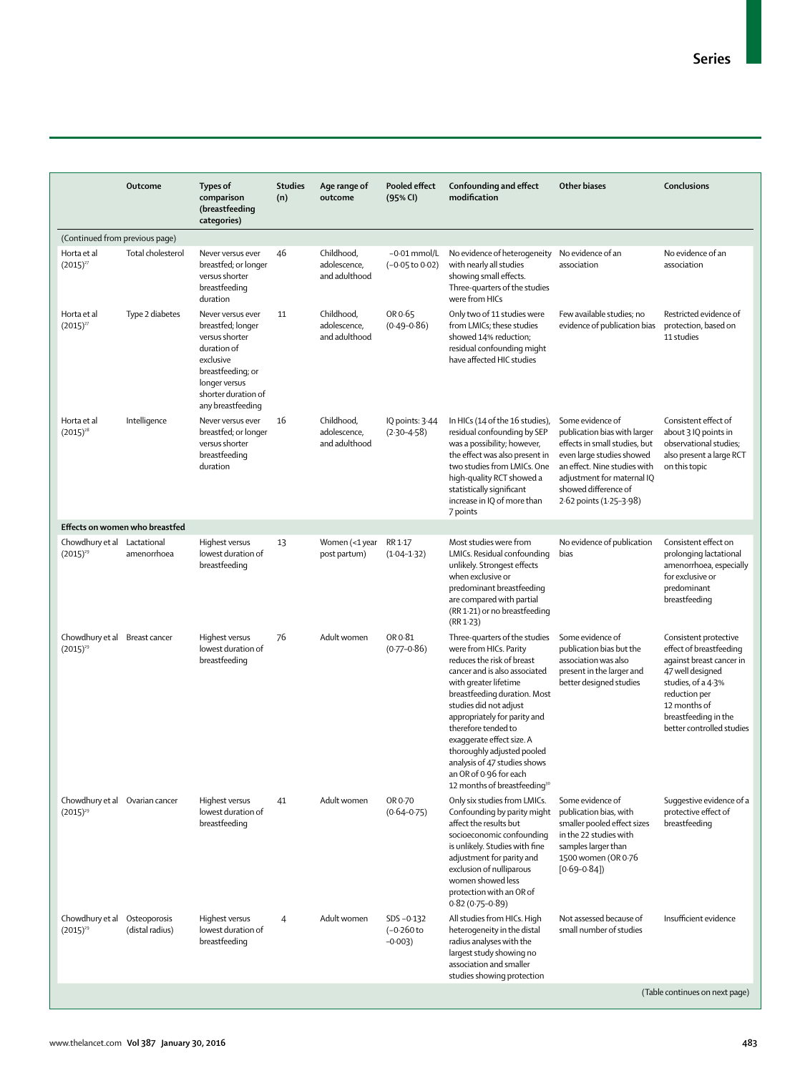|                                                 | Outcome                        | Types of<br>comparison<br>(breastfeeding<br>categories)                                                                                                                | <b>Studies</b><br>(n) | Age range of<br>outcome                     | Pooled effect<br>(95% CI)                    | Confounding and effect<br>modification                                                                                                                                                                                                                                                                                                                                                                                            | <b>Other biases</b>                                                                                                                                                                                                             | <b>Conclusions</b>                                                                                                                                                                                           |
|-------------------------------------------------|--------------------------------|------------------------------------------------------------------------------------------------------------------------------------------------------------------------|-----------------------|---------------------------------------------|----------------------------------------------|-----------------------------------------------------------------------------------------------------------------------------------------------------------------------------------------------------------------------------------------------------------------------------------------------------------------------------------------------------------------------------------------------------------------------------------|---------------------------------------------------------------------------------------------------------------------------------------------------------------------------------------------------------------------------------|--------------------------------------------------------------------------------------------------------------------------------------------------------------------------------------------------------------|
| (Continued from previous page)                  |                                |                                                                                                                                                                        |                       |                                             |                                              |                                                                                                                                                                                                                                                                                                                                                                                                                                   |                                                                                                                                                                                                                                 |                                                                                                                                                                                                              |
| Horta et al<br>$(2015)^{27}$                    | Total cholesterol              | Never versus ever<br>breastfed; or longer<br>versus shorter<br>breastfeeding<br>duration                                                                               | 46                    | Childhood,<br>adolescence,<br>and adulthood | $-0.01$ mmol/L<br>$(-0.05 \text{ to } 0.02)$ | No evidence of heterogeneity<br>with nearly all studies<br>showing small effects.<br>Three-quarters of the studies<br>were from HICs                                                                                                                                                                                                                                                                                              | No evidence of an<br>association                                                                                                                                                                                                | No evidence of an<br>association                                                                                                                                                                             |
| Horta et al<br>$(2015)^{27}$                    | Type 2 diabetes                | Never versus ever<br>breastfed; longer<br>versus shorter<br>duration of<br>exclusive<br>breastfeeding; or<br>longer versus<br>shorter duration of<br>any breastfeeding | 11                    | Childhood,<br>adolescence.<br>and adulthood | OR 0.65<br>$(0.49 - 0.86)$                   | Only two of 11 studies were<br>from LMICs; these studies<br>showed 14% reduction;<br>residual confounding might<br>have affected HIC studies                                                                                                                                                                                                                                                                                      | Few available studies; no<br>evidence of publication bias                                                                                                                                                                       | Restricted evidence of<br>protection, based on<br>11 studies                                                                                                                                                 |
| Horta et al<br>$(2015)^{28}$                    | Intelligence                   | Never versus ever<br>breastfed; or longer<br>versus shorter<br>breastfeeding<br>duration                                                                               | 16                    | Childhood,<br>adolescence,<br>and adulthood | IQ points: 3-44<br>$(2.30 - 4.58)$           | In HICs (14 of the 16 studies),<br>residual confounding by SEP<br>was a possibility; however,<br>the effect was also present in<br>two studies from LMICs. One<br>high-quality RCT showed a<br>statistically significant<br>increase in IQ of more than<br>7 points                                                                                                                                                               | Some evidence of<br>publication bias with larger<br>effects in small studies, but<br>even large studies showed<br>an effect. Nine studies with<br>adjustment for maternal IQ<br>showed difference of<br>2.62 points (1.25-3.98) | Consistent effect of<br>about 3 IQ points in<br>observational studies;<br>also present a large RCT<br>on this topic                                                                                          |
|                                                 | Effects on women who breastfed |                                                                                                                                                                        |                       |                                             |                                              |                                                                                                                                                                                                                                                                                                                                                                                                                                   |                                                                                                                                                                                                                                 |                                                                                                                                                                                                              |
| Chowdhury et al Lactational<br>$(2015)^{29}$    | amenorrhoea                    | Highest versus<br>lowest duration of<br>breastfeeding                                                                                                                  | 13                    | Women (<1 year<br>post partum)              | RR 1-17<br>$(1.04 - 1.32)$                   | Most studies were from<br>LMICs. Residual confounding<br>unlikely. Strongest effects<br>when exclusive or<br>predominant breastfeeding<br>are compared with partial<br>(RR 1.21) or no breastfeeding<br>(RR 1.23)                                                                                                                                                                                                                 | No evidence of publication<br>bias                                                                                                                                                                                              | Consistent effect on<br>prolonging lactational<br>amenorrhoea, especially<br>for exclusive or<br>predominant<br>breastfeeding                                                                                |
| Chowdhury et al Breast cancer<br>$(2015)^{29}$  |                                | Highest versus<br>lowest duration of<br>breastfeeding                                                                                                                  | 76                    | Adult women                                 | OR 0-81<br>$(0.77 - 0.86)$                   | Three-quarters of the studies<br>were from HICs. Parity<br>reduces the risk of breast<br>cancer and is also associated<br>with greater lifetime<br>breastfeeding duration. Most<br>studies did not adjust<br>appropriately for parity and<br>therefore tended to<br>exaggerate effect size. A<br>thoroughly adjusted pooled<br>analysis of 47 studies shows<br>an OR of 0.96 for each<br>12 months of breastfeeding <sup>30</sup> | Some evidence of<br>publication bias but the<br>association was also<br>present in the larger and<br>better designed studies                                                                                                    | Consistent protective<br>effect of breastfeeding<br>against breast cancer in<br>47 well designed<br>studies, of a 4-3%<br>reduction per<br>12 months of<br>breastfeeding in the<br>better controlled studies |
| Chowdhury et al Ovarian cancer<br>$(2015)^{29}$ |                                | Highest versus<br>lowest duration of<br>breastfeeding                                                                                                                  | 41                    | Adult women                                 | OR 0-70<br>$(0.64 - 0.75)$                   | Only six studies from LMICs.<br>Confounding by parity might<br>affect the results but<br>socioeconomic confounding<br>is unlikely. Studies with fine<br>adjustment for parity and<br>exclusion of nulliparous<br>women showed less<br>protection with an OR of<br>$0.82(0.75 - 0.89)$                                                                                                                                             | Some evidence of<br>publication bias, with<br>smaller pooled effect sizes<br>in the 22 studies with<br>samples larger than<br>1500 women (OR 0-76<br>$[0.69 - 0.84]$                                                            | Suggestive evidence of a<br>protective effect of<br>breastfeeding                                                                                                                                            |
| Chowdhury et al Osteoporosis<br>$(2015)^{29}$   | (distal radius)                | Highest versus<br>lowest duration of<br>breastfeeding                                                                                                                  | 4                     | Adult women                                 | $SDS - 0.132$<br>$(-0.260)$ to<br>$-0.003$ ) | All studies from HICs. High<br>heterogeneity in the distal<br>radius analyses with the<br>largest study showing no<br>association and smaller<br>studies showing protection                                                                                                                                                                                                                                                       | Not assessed because of<br>small number of studies                                                                                                                                                                              | Insufficient evidence                                                                                                                                                                                        |
|                                                 |                                |                                                                                                                                                                        |                       |                                             |                                              |                                                                                                                                                                                                                                                                                                                                                                                                                                   |                                                                                                                                                                                                                                 | (Table continues on next page)                                                                                                                                                                               |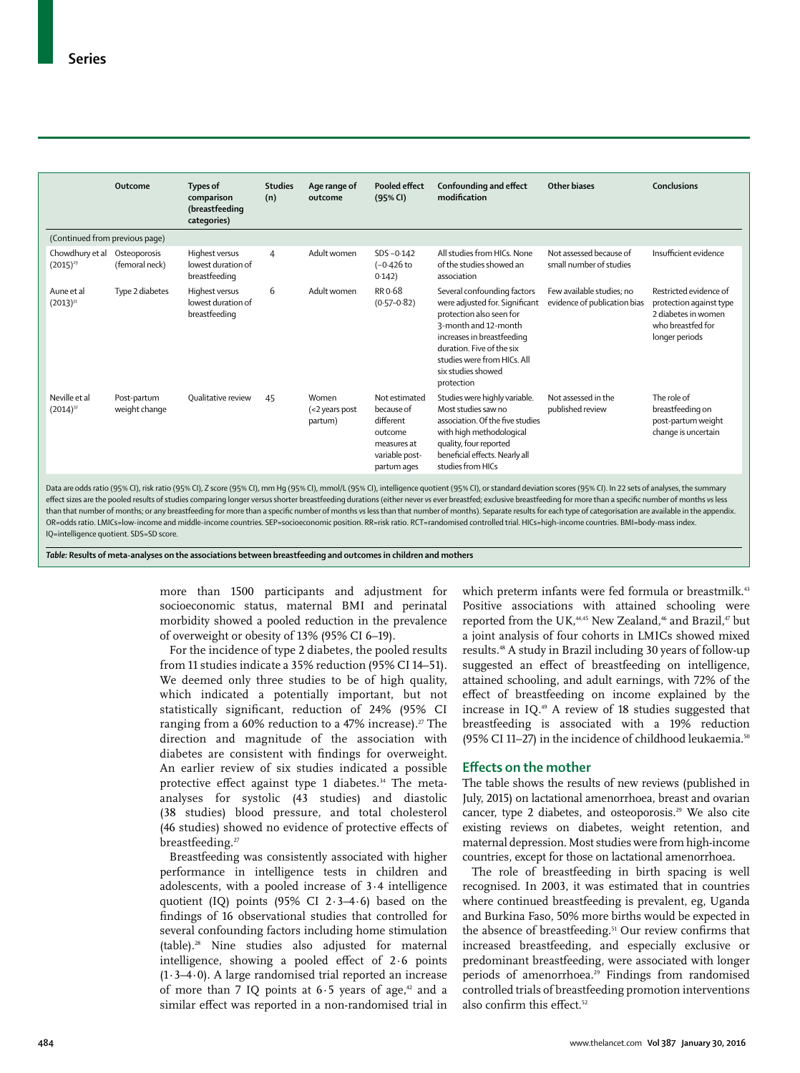|                                                                                                                                                                                                                                                                                                                                                                                                                                                                                                                                                                                                                                                                                                                                                                                                                                                                                                  | Outcome                        | <b>Types of</b><br>comparison<br>(breastfeeding<br>categories) | <b>Studies</b><br>(n) | Age range of<br>outcome            | Pooled effect<br>(95% CI)                                                                           | Confounding and effect<br>modification                                                                                                                                                                                                          | Other biases                                              | Conclusions                                                                                                     |
|--------------------------------------------------------------------------------------------------------------------------------------------------------------------------------------------------------------------------------------------------------------------------------------------------------------------------------------------------------------------------------------------------------------------------------------------------------------------------------------------------------------------------------------------------------------------------------------------------------------------------------------------------------------------------------------------------------------------------------------------------------------------------------------------------------------------------------------------------------------------------------------------------|--------------------------------|----------------------------------------------------------------|-----------------------|------------------------------------|-----------------------------------------------------------------------------------------------------|-------------------------------------------------------------------------------------------------------------------------------------------------------------------------------------------------------------------------------------------------|-----------------------------------------------------------|-----------------------------------------------------------------------------------------------------------------|
| (Continued from previous page)                                                                                                                                                                                                                                                                                                                                                                                                                                                                                                                                                                                                                                                                                                                                                                                                                                                                   |                                |                                                                |                       |                                    |                                                                                                     |                                                                                                                                                                                                                                                 |                                                           |                                                                                                                 |
| Chowdhury et al<br>$(2015)^{29}$                                                                                                                                                                                                                                                                                                                                                                                                                                                                                                                                                                                                                                                                                                                                                                                                                                                                 | Osteoporosis<br>(femoral neck) | Highest versus<br>lowest duration of<br>breastfeeding          | $\overline{4}$        | Adult women                        | $SDS - 0.142$<br>$(-0.426$ to<br>0.142)                                                             | All studies from HICs. None<br>of the studies showed an<br>association                                                                                                                                                                          | Not assessed because of<br>small number of studies        | Insufficient evidence                                                                                           |
| Aune et al<br>$(2013)^{31}$                                                                                                                                                                                                                                                                                                                                                                                                                                                                                                                                                                                                                                                                                                                                                                                                                                                                      | Type 2 diabetes                | Highest versus<br>lowest duration of<br>breastfeeding          | 6                     | Adult women                        | RR 0.68<br>$(0.57 - 0.82)$                                                                          | Several confounding factors<br>were adjusted for. Significant<br>protection also seen for<br>3-month and 12-month<br>increases in breastfeeding<br>duration. Five of the six<br>studies were from HICs. All<br>six studies showed<br>protection | Few available studies: no<br>evidence of publication bias | Restricted evidence of<br>protection against type<br>2 diabetes in women<br>who breastfed for<br>longer periods |
| Neville et al<br>$(2014)^{32}$                                                                                                                                                                                                                                                                                                                                                                                                                                                                                                                                                                                                                                                                                                                                                                                                                                                                   | Post-partum<br>weight change   | Qualitative review                                             | 45                    | Women<br>(<2 years post<br>partum) | Not estimated<br>because of<br>different<br>outcome<br>measures at<br>variable post-<br>partum ages | Studies were highly variable.<br>Most studies saw no<br>association. Of the five studies<br>with high methodological<br>quality, four reported<br>beneficial effects. Nearly all<br>studies from HICs                                           | Not assessed in the<br>published review                   | The role of<br>breastfeeding on<br>post-partum weight<br>change is uncertain                                    |
| Data are odds ratio (95% CI), risk ratio (95% CI), Z score (95% CI), mm Hq (95% CI), mmol/L (95% CI), intelligence quotient (95% CI), or standard deviation scores (95% CI). In 22 sets of analyses, the summary<br>effect sizes are the pooled results of studies comparing longer versus shorter breastfeeding durations (either never vs ever breastfed; exclusive breastfeeding for more than a specific number of months vs less<br>than that number of months; or any breastfeeding for more than a specific number of months vs less than that number of months). Separate results for each type of categorisation are available in the appendix.<br>OR=odds ratio. LMICs=low-income and middle-income countries. SEP=socioeconomic position. RR=risk ratio. RCT=randomised controlled trial. HICs=high-income countries. BMI=body-mass index.<br>IQ=intelligence quotient. SDS=SD score. |                                |                                                                |                       |                                    |                                                                                                     |                                                                                                                                                                                                                                                 |                                                           |                                                                                                                 |

 *Table:* **Results of meta-analyses on the associations between breastfeeding and outcomes in children and mothers**

more than 1500 participants and adjustment for socioeconomic status, maternal BMI and perinatal morbidity showed a pooled reduction in the prevalence of overweight or obesity of 13% (95% CI 6–19).

For the incidence of type 2 diabetes, the pooled results from 11 studies indicate a 35% reduction (95% CI 14–51). We deemed only three studies to be of high quality, which indicated a potentially important, but not statistically significant, reduction of 24% (95% CI ranging from a 60% reduction to a 47% increase).<sup>27</sup> The direction and magnitude of the association with diabetes are consistent with findings for overweight. An earlier review of six studies indicated a possible protective effect against type 1 diabetes.<sup>34</sup> The metaanalyses for systolic (43 studies) and diastolic (38 studies) blood pressure, and total cholesterol (46 studies) showed no evidence of protective effects of breastfeeding.<sup>27</sup>

Breastfeeding was consistently associated with higher performance in intelligence tests in children and adolescents, with a pooled increase of 3·4 intelligence quotient (IQ) points  $(95\% \text{ CI } 2.3-4.6)$  based on the findings of 16 observational studies that controlled for several confounding factors including home stimulation (table).28 Nine studies also adjusted for maternal intelligence, showing a pooled effect of  $2.6$  points (1·3–4·0). A large randomised trial reported an increase of more than 7 IQ points at  $6.5$  years of age,<sup>42</sup> and a similar effect was reported in a non-randomised trial in which preterm infants were fed formula or breastmilk.<sup>43</sup> Positive associations with attained schooling were reported from the UK,<sup>44,45</sup> New Zealand,<sup>46</sup> and Brazil,<sup>47</sup> but a joint analysis of four cohorts in LMICs showed mixed results.48 A study in Brazil including 30 years of follow-up suggested an effect of breastfeeding on intelligence, attained schooling, and adult earnings, with 72% of the effect of breastfeeding on income explained by the increase in IQ.49 A review of 18 studies suggested that breastfeeding is associated with a 19% reduction (95% CI 11–27) in the incidence of childhood leukaemia.50

## **Effects on the mother**

The table shows the results of new reviews (published in July, 2015) on lactational amenorrhoea, breast and ovarian cancer, type 2 diabetes, and osteoporosis.29 We also cite existing reviews on diabetes, weight retention, and maternal depression. Most studies were from high-income countries, except for those on lactational amenorrhoea.

The role of breastfeeding in birth spacing is well recognised. In 2003, it was estimated that in countries where continued breastfeeding is prevalent, eg, Uganda and Burkina Faso, 50% more births would be expected in the absence of breastfeeding.<sup>51</sup> Our review confirms that increased breastfeeding, and especially exclusive or predominant breastfeeding, were associated with longer periods of amenorrhoea.<sup>29</sup> Findings from randomised controlled trials of breastfeeding promotion interventions also confirm this effect. $52$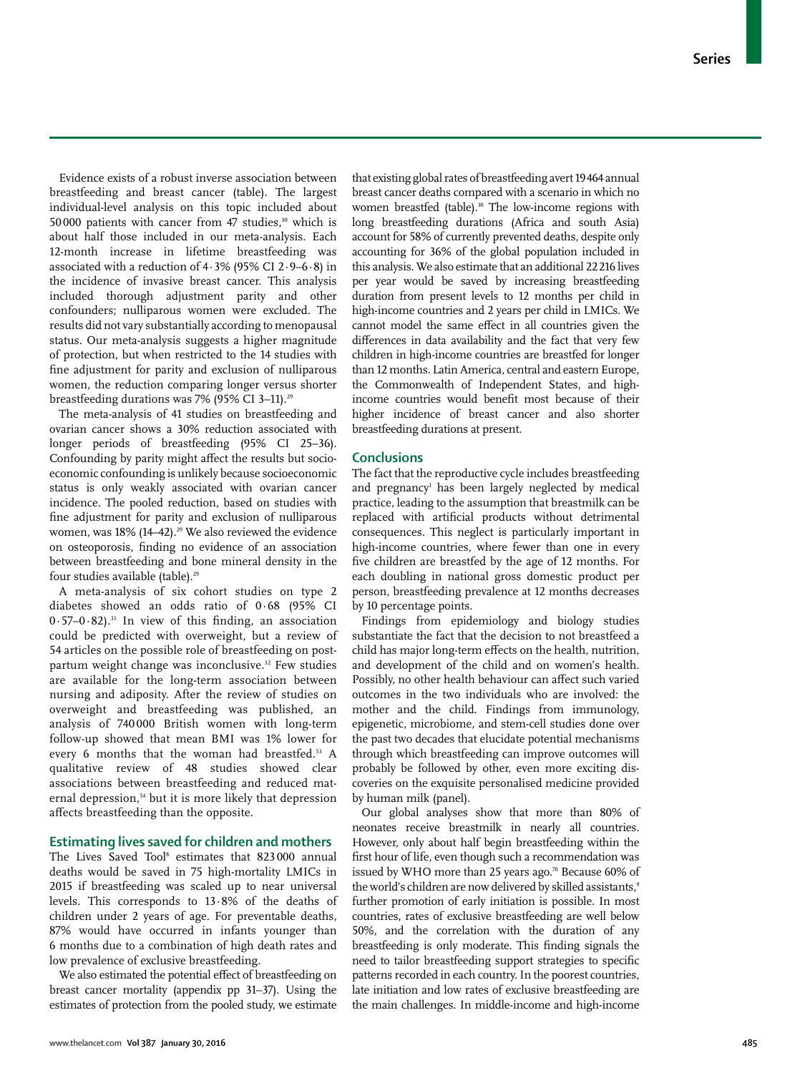Evidence exists of a robust inverse association between breastfeeding and breast cancer (table). The largest individual-level analysis on this topic included about 50 000 patients with cancer from 47 studies,<sup>30</sup> which is about half those included in our meta-analysis. Each 12-month increase in lifetime breastfeeding was associated with a reduction of 4·3% (95% CI 2·9–6·8) in the incidence of invasive breast cancer. This analysis included thorough adjustment parity and other confounders; nulliparous women were excluded. The results did not vary substantially according to menopausal status. Our meta-analysis suggests a higher magnitude of protection, but when restricted to the 14 studies with fine adjustment for parity and exclusion of nulliparous women, the reduction comparing longer versus shorter breastfeeding durations was 7% (95% CI 3-11).<sup>29</sup>

The meta-analysis of 41 studies on breastfeeding and ovarian cancer shows a 30% reduction associated with longer periods of breastfeeding (95% CI 25–36). Confounding by parity might affect the results but socioeconomic confounding is unlikely because socioeconomic status is only weakly associated with ovarian cancer incidence. The pooled reduction, based on studies with fine adjustment for parity and exclusion of nulliparous women, was 18% (14–42).<sup>29</sup> We also reviewed the evidence on osteoporosis, finding no evidence of an association between breastfeeding and bone mineral density in the four studies available (table).<sup>29</sup>

A meta-analysis of six cohort studies on type 2 diabetes showed an odds ratio of 0·68 (95% CI  $0.57-0.82$ ).<sup>31</sup> In view of this finding, an association could be predicted with overweight, but a review of 54 articles on the possible role of breastfeeding on postpartum weight change was inconclusive.<sup>32</sup> Few studies are available for the long-term association between nursing and adiposity. After the review of studies on overweight and breastfeeding was published, an analysis of 740 000 British women with long-term follow-up showed that mean BMI was 1% lower for every 6 months that the woman had breastfed.<sup>53</sup> A qualitative review of 48 studies showed clear associations between breastfeeding and reduced maternal depression,<sup>54</sup> but it is more likely that depression affects breastfeeding than the opposite.

## **Estimating lives saved for children and mothers**

The Lives Saved Tool<sup>8</sup> estimates that 823 000 annual deaths would be saved in 75 high-mortality LMICs in 2015 if breastfeeding was scaled up to near universal levels. This corresponds to 13·8% of the deaths of children under 2 years of age. For preventable deaths, 87% would have occurred in infants younger than 6 months due to a combination of high death rates and low prevalence of exclusive breastfeeding.

We also estimated the potential effect of breastfeeding on breast cancer mortality (appendix pp 31–37). Using the estimates of protection from the pooled study, we estimate that existing global rates of breastfeeding avert 19 464 annual breast cancer deaths compared with a scenario in which no women breastfed (table).<sup>30</sup> The low-income regions with long breastfeeding durations (Africa and south Asia) account for 58% of currently prevented deaths, despite only accounting for 36% of the global population included in this analysis. We also estimate that an additional 22 216 lives per year would be saved by increasing breastfeeding duration from present levels to 12 months per child in high-income countries and 2 years per child in LMICs. We cannot model the same effect in all countries given the differences in data availability and the fact that very few children in high-income countries are breastfed for longer than 12 months. Latin America, central and eastern Europe, the Commonwealth of Independent States, and highincome countries would benefit most because of their higher incidence of breast cancer and also shorter breastfeeding durations at present.

## **Conclusions**

The fact that the reproductive cycle includes breastfeeding and pregnancy1 has been largely neglected by medical practice, leading to the assumption that breastmilk can be replaced with artificial products without detrimental consequences. This neglect is particularly important in high-income countries, where fewer than one in every five children are breastfed by the age of 12 months. For each doubling in national gross domestic product per person, breastfeeding prevalence at 12 months decreases by 10 percentage points.

Findings from epidemiology and biology studies substantiate the fact that the decision to not breastfeed a child has major long-term effects on the health, nutrition, and development of the child and on women's health. Possibly, no other health behaviour can affect such varied outcomes in the two individuals who are involved: the mother and the child. Findings from immunology, epigenetic, microbiome, and stem-cell studies done over the past two decades that elucidate potential mechanisms through which breastfeeding can improve outcomes will probably be followed by other, even more exciting discoveries on the exquisite personalised medicine provided by human milk (panel).

Our global analyses show that more than 80% of neonates receive breastmilk in nearly all countries. However, only about half begin breastfeeding within the first hour of life, even though such a recommendation was issued by WHO more than 25 years ago.<sup>70</sup> Because 60% of the world's children are now delivered by skilled assistants,<sup>9</sup> further promotion of early initiation is possible. In most countries, rates of exclusive breastfeeding are well below 50%, and the correlation with the duration of any breastfeeding is only moderate. This finding signals the need to tailor breastfeeding support strategies to specific patterns recorded in each country. In the poorest countries, late initiation and low rates of exclusive breastfeeding are the main challenges. In middle-income and high-income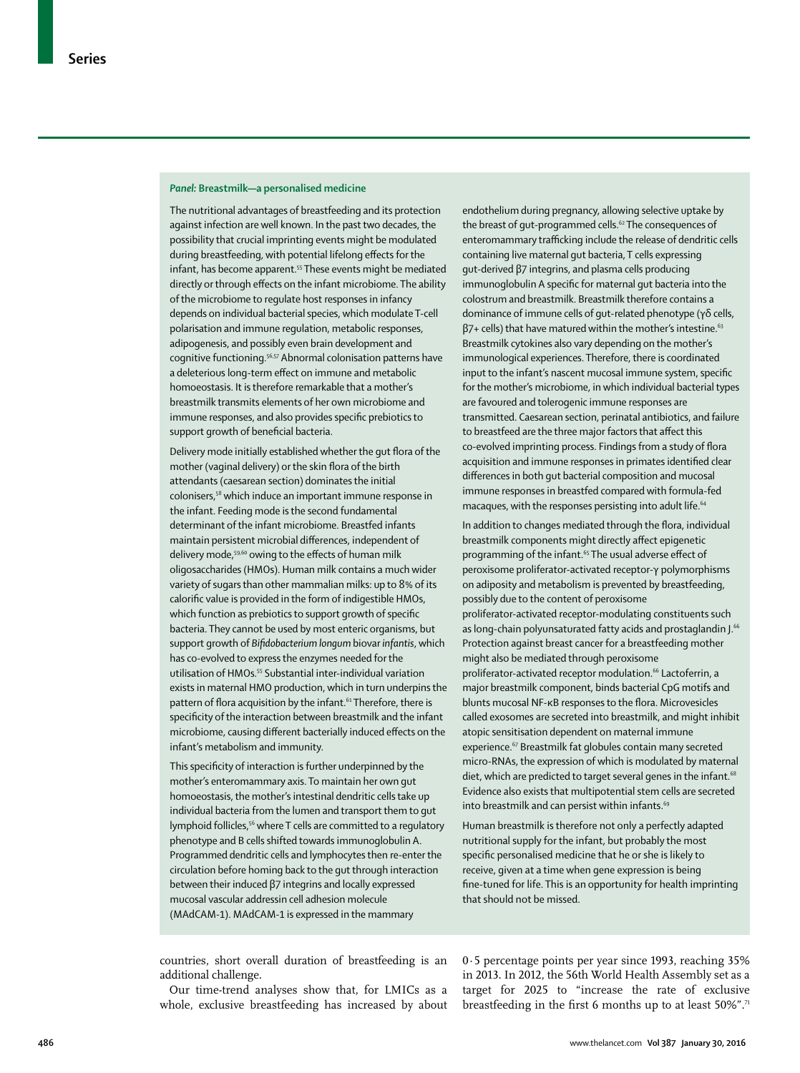#### *Panel:* **Breastmilk—a personalised medicine**

The nutritional advantages of breastfeeding and its protection against infection are well known. In the past two decades, the possibility that crucial imprinting events might be modulated during breastfeeding, with potential lifelong effects for the infant, has become apparent.<sup>55</sup> These events might be mediated directly or through effects on the infant microbiome. The ability of the microbiome to regulate host responses in infancy depends on individual bacterial species, which modulate T-cell polarisation and immune regulation, metabolic responses, adipogenesis, and possibly even brain development and cognitive functioning.56,57 Abnormal colonisation patterns have a deleterious long-term effect on immune and metabolic homoeostasis. It is therefore remarkable that a mother's breastmilk transmits elements of her own microbiome and immune responses, and also provides specific prebiotics to support growth of beneficial bacteria.

Delivery mode initially established whether the gut flora of the mother (vaginal delivery) or the skin flora of the birth attendants (caesarean section) dominates the initial colonisers,58 which induce an important immune response in the infant. Feeding mode is the second fundamental determinant of the infant microbiome. Breastfed infants maintain persistent microbial differences, independent of delivery mode,<sup>59,60</sup> owing to the effects of human milk oligosaccharides (HMOs). Human milk contains a much wider variety of sugars than other mammalian milks: up to 8% of its calorific value is provided in the form of indigestible HMOs, which function as prebiotics to support growth of specific bacteria. They cannot be used by most enteric organisms, but support growth of *Bifi dobacterium longum* biovar *infantis*, which has co-evolved to express the enzymes needed for the utilisation of HMOs.<sup>55</sup> Substantial inter-individual variation exists in maternal HMO production, which in turn underpins the pattern of flora acquisition by the infant.<sup>61</sup> Therefore, there is specificity of the interaction between breastmilk and the infant microbiome, causing different bacterially induced effects on the infant's metabolism and immunity.

This specificity of interaction is further underpinned by the mother's enteromammary axis. To maintain her own gut homoeostasis, the mother's intestinal dendritic cells take up individual bacteria from the lumen and transport them to gut lymphoid follicles,<sup>56</sup> where T cells are committed to a regulatory phenotype and B cells shifted towards immunoglobulin A. Programmed dendritic cells and lymphocytes then re-enter the circulation before homing back to the gut through interaction between their induced β7 integrins and locally expressed mucosal vascular addressin cell adhesion molecule (MAdCAM-1). MAdCAM-1 is expressed in the mammary

endothelium during pregnancy, allowing selective uptake by the breast of qut-programmed cells.<sup>62</sup> The consequences of enteromammary trafficking include the release of dendritic cells containing live maternal gut bacteria, T cells expressing gut-derived β7 integrins, and plasma cells producing immunoglobulin A specific for maternal gut bacteria into the colostrum and breastmilk. Breastmilk therefore contains a dominance of immune cells of gut-related phenotype (γδ cells,  $β7+$  cells) that have matured within the mother's intestine.<sup>6</sup> Breastmilk cytokines also vary depending on the mother's immunological experiences. Therefore, there is coordinated input to the infant's nascent mucosal immune system, specific for the mother's microbiome, in which individual bacterial types are favoured and tolerogenic immune responses are transmitted. Caesarean section, perinatal antibiotics, and failure to breastfeed are the three major factors that affect this co-evolved imprinting process. Findings from a study of flora acquisition and immune responses in primates identified clear differences in both gut bacterial composition and mucosal immune responses in breastfed compared with formula-fed macaques, with the responses persisting into adult life.<sup>64</sup>

In addition to changes mediated through the flora, individual breastmilk components might directly affect epigenetic programming of the infant.<sup>65</sup> The usual adverse effect of peroxisome proliferator-activated receptor-γ polymorphisms on adiposity and metabolism is prevented by breastfeeding, possibly due to the content of peroxisome proliferator-activated receptor-modulating constituents such as long-chain polyunsaturated fatty acids and prostaglandin J.<sup>66</sup> Protection against breast cancer for a breastfeeding mother might also be mediated through peroxisome proliferator-activated receptor modulation.<sup>66</sup> Lactoferrin, a major breastmilk component, binds bacterial CpG motifs and blunts mucosal NF-κB responses to the flora. Microvesicles called exosomes are secreted into breastmilk, and might inhibit atopic sensitisation dependent on maternal immune experience.<sup>67</sup> Breastmilk fat globules contain many secreted micro-RNAs, the expression of which is modulated by maternal diet, which are predicted to target several genes in the infant.<sup>68</sup> Evidence also exists that multipotential stem cells are secreted into breastmilk and can persist within infants.<sup>69</sup>

Human breastmilk is therefore not only a perfectly adapted nutritional supply for the infant, but probably the most specific personalised medicine that he or she is likely to receive, given at a time when gene expression is being fine-tuned for life. This is an opportunity for health imprinting that should not be missed.

countries, short overall duration of breastfeeding is an additional challenge.

Our time-trend analyses show that, for LMICs as a whole, exclusive breastfeeding has increased by about 0·5 percentage points per year since 1993, reaching 35% in 2013. In 2012, the 56th World Health Assembly set as a target for 2025 to "increase the rate of exclusive breastfeeding in the first 6 months up to at least 50%".<sup>71</sup>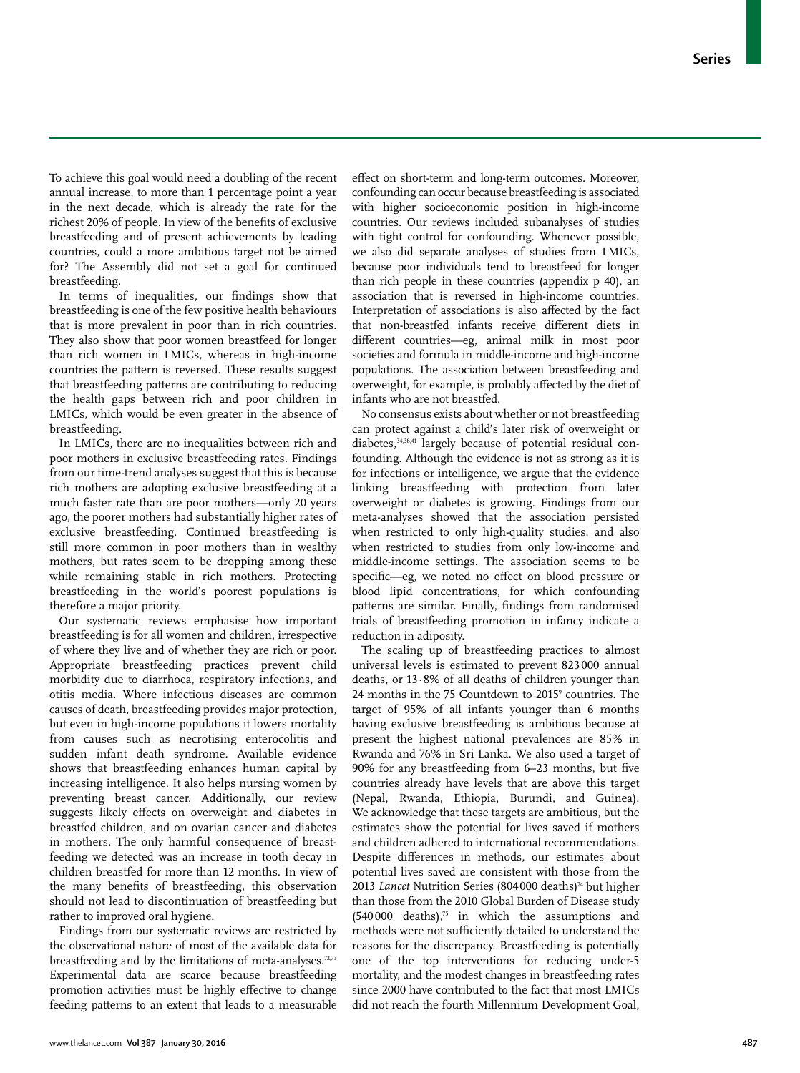To achieve this goal would need a doubling of the recent annual increase, to more than 1 percentage point a year in the next decade, which is already the rate for the richest 20% of people. In view of the benefits of exclusive breastfeeding and of present achievements by leading countries, could a more ambitious target not be aimed for? The Assembly did not set a goal for continued breastfeeding.

In terms of inequalities, our findings show that breastfeeding is one of the few positive health behaviours that is more prevalent in poor than in rich countries. They also show that poor women breastfeed for longer than rich women in LMICs, whereas in high-income countries the pattern is reversed. These results suggest that breastfeeding patterns are contributing to reducing the health gaps between rich and poor children in LMICs, which would be even greater in the absence of breastfeeding.

In LMICs, there are no inequalities between rich and poor mothers in exclusive breastfeeding rates. Findings from our time-trend analyses suggest that this is because rich mothers are adopting exclusive breastfeeding at a much faster rate than are poor mothers—only 20 years ago, the poorer mothers had substantially higher rates of exclusive breastfeeding. Continued breastfeeding is still more common in poor mothers than in wealthy mothers, but rates seem to be dropping among these while remaining stable in rich mothers. Protecting breastfeeding in the world's poorest populations is therefore a major priority.

Our systematic reviews emphasise how important breastfeeding is for all women and children, irrespective of where they live and of whether they are rich or poor. Appropriate breastfeeding practices prevent child morbidity due to diarrhoea, respiratory infections, and otitis media. Where infectious diseases are common causes of death, breastfeeding provides major protection, but even in high-income populations it lowers mortality from causes such as necrotising enterocolitis and sudden infant death syndrome. Available evidence shows that breastfeeding enhances human capital by increasing intelligence. It also helps nursing women by preventing breast cancer. Additionally, our review suggests likely effects on overweight and diabetes in breastfed children, and on ovarian cancer and diabetes in mothers. The only harmful consequence of breastfeeding we detected was an increase in tooth decay in children breastfed for more than 12 months. In view of the many benefits of breastfeeding, this observation should not lead to discontinuation of breastfeeding but rather to improved oral hygiene.

Findings from our systematic reviews are restricted by the observational nature of most of the available data for breastfeeding and by the limitations of meta-analyses.<sup>72,73</sup> Experimental data are scarce because breastfeeding promotion activities must be highly effective to change feeding patterns to an extent that leads to a measurable effect on short-term and long-term outcomes. Moreover, confounding can occur because breastfeeding is associated with higher socioeconomic position in high-income countries. Our reviews included subanalyses of studies with tight control for confounding. Whenever possible, we also did separate analyses of studies from LMICs, because poor individuals tend to breastfeed for longer than rich people in these countries (appendix p 40), an association that is reversed in high-income countries. Interpretation of associations is also affected by the fact that non-breastfed infants receive different diets in different countries—eg, animal milk in most poor societies and formula in middle-income and high-income populations. The association between breastfeeding and overweight, for example, is probably affected by the diet of infants who are not breastfed.

No consensus exists about whether or not breastfeeding can protect against a child's later risk of overweight or diabetes,<sup>34,38,41</sup> largely because of potential residual confounding. Although the evidence is not as strong as it is for infections or intelligence, we argue that the evidence linking breastfeeding with protection from later overweight or diabetes is growing. Findings from our meta-analyses showed that the association persisted when restricted to only high-quality studies, and also when restricted to studies from only low-income and middle-income settings. The association seems to be specific—eg, we noted no effect on blood pressure or blood lipid concentrations, for which confounding patterns are similar. Finally, findings from randomised trials of breastfeeding promotion in infancy indicate a reduction in adiposity.

The scaling up of breastfeeding practices to almost universal levels is estimated to prevent 823 000 annual deaths, or 13·8% of all deaths of children younger than 24 months in the 75 Countdown to 20159 countries. The target of 95% of all infants younger than 6 months having exclusive breastfeeding is ambitious because at present the highest national prevalences are 85% in Rwanda and 76% in Sri Lanka. We also used a target of 90% for any breastfeeding from 6-23 months, but five countries already have levels that are above this target (Nepal, Rwanda, Ethiopia, Burundi, and Guinea). We acknowledge that these targets are ambitious, but the estimates show the potential for lives saved if mothers and children adhered to international recommendations. Despite differences in methods, our estimates about potential lives saved are consistent with those from the 2013 *Lancet* Nutrition Series (804000 deaths)<sup>74</sup> but higher than those from the 2010 Global Burden of Disease study  $(540000 \text{ deaths})$ ,<sup>75</sup> in which the assumptions and methods were not sufficiently detailed to understand the reasons for the discrepancy. Breastfeeding is potentially one of the top interventions for reducing under-5 mortality, and the modest changes in breastfeeding rates since 2000 have contributed to the fact that most LMICs did not reach the fourth Millennium Development Goal,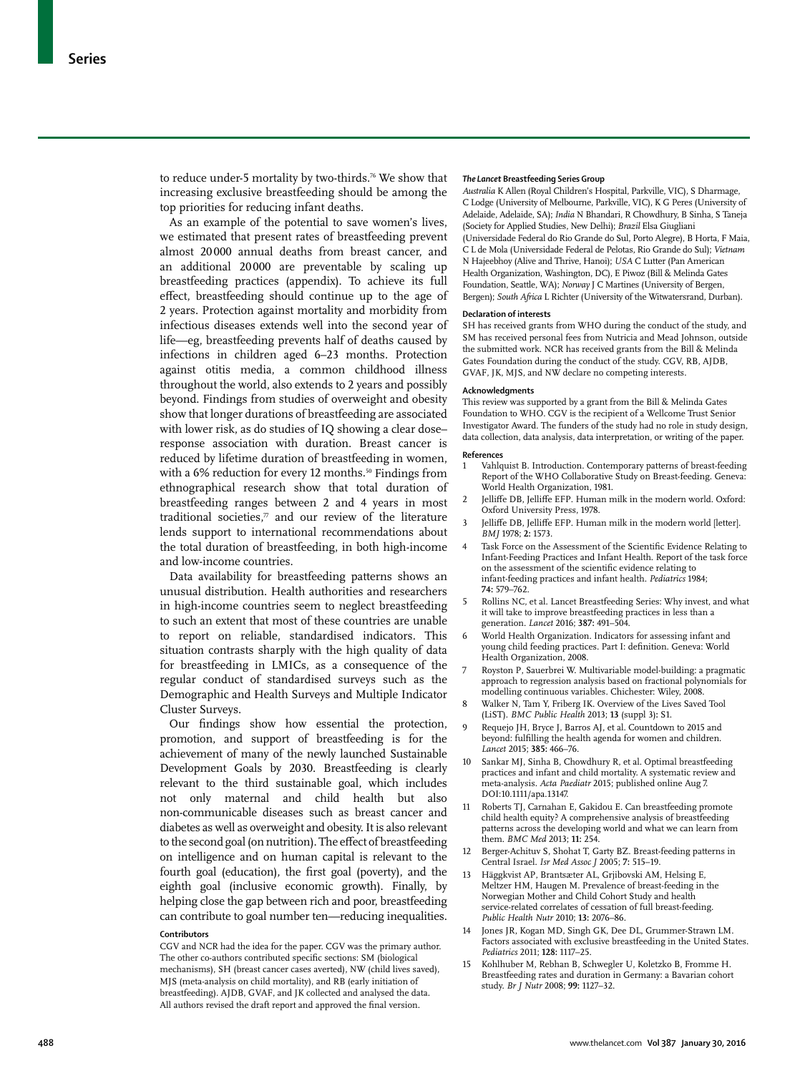to reduce under-5 mortality by two-thirds.<sup>76</sup> We show that increasing exclusive breastfeeding should be among the top priorities for reducing infant deaths.

As an example of the potential to save women's lives, we estimated that present rates of breastfeeding prevent almost 20 000 annual deaths from breast cancer, and an additional 20 000 are preventable by scaling up breastfeeding practices (appendix). To achieve its full effect, breastfeeding should continue up to the age of 2 years. Protection against mortality and morbidity from infectious diseases extends well into the second year of life—eg, breastfeeding prevents half of deaths caused by infections in children aged 6–23 months. Protection against otitis media, a common childhood illness throughout the world, also extends to 2 years and possibly beyond. Findings from studies of overweight and obesity show that longer durations of breastfeeding are associated with lower risk, as do studies of IQ showing a clear dose– response association with duration. Breast cancer is reduced by lifetime duration of breastfeeding in women, with a 6% reduction for every 12 months.<sup>50</sup> Findings from ethnographical research show that total duration of breastfeeding ranges between 2 and 4 years in most traditional societies, $\pi$  and our review of the literature lends support to international recommendations about the total duration of breastfeeding, in both high-income and low-income countries.

Data availability for breastfeeding patterns shows an unusual distribution. Health authorities and researchers in high-income countries seem to neglect breastfeeding to such an extent that most of these countries are unable to report on reliable, standardised indicators. This situation contrasts sharply with the high quality of data for breastfeeding in LMICs, as a consequence of the regular conduct of standardised surveys such as the Demographic and Health Surveys and Multiple Indicator Cluster Surveys.

Our findings show how essential the protection, promotion, and support of breastfeeding is for the achievement of many of the newly launched Sustainable Development Goals by 2030. Breastfeeding is clearly relevant to the third sustainable goal, which includes not only maternal and child health but also non-communicable diseases such as breast cancer and diabetes as well as overweight and obesity. It is also relevant to the second goal (on nutrition). The effect of breastfeeding on intelligence and on human capital is relevant to the fourth goal (education), the first goal (poverty), and the eighth goal (inclusive economic growth). Finally, by helping close the gap between rich and poor, breastfeeding can contribute to goal number ten—reducing inequalities.

#### **Contributors**

CGV and NCR had the idea for the paper. CGV was the primary author. The other co-authors contributed specific sections: SM (biological mechanisms), SH (breast cancer cases averted), NW (child lives saved), MJS (meta-analysis on child mortality), and RB (early initiation of breastfeeding). AJDB, GVAF, and JK collected and analysed the data. All authors revised the draft report and approved the final version.

#### *The Lancet* **Breastfeeding Series Group**

*Australia* K Allen (Royal Children's Hospital, Parkville, VIC), S Dharmage, C Lodge (University of Melbourne, Parkville, VIC), K G Peres (University of Adelaide, Adelaide, SA); *India* N Bhandari, R Chowdhury, B Sinha, S Taneja (Society for Applied Studies, New Delhi); *Brazil* Elsa Giugliani (Universidade Federal do Rio Grande do Sul, Porto Alegre), B Horta, F Maia, C L de Mola (Universidade Federal de Pelotas, Rio Grande do Sul); *Vietnam*  N Hajeebhoy (Alive and Thrive, Hanoi); *USA* C Lutter (Pan American Health Organization, Washington, DC), E Piwoz (Bill & Melinda Gates Foundation, Seattle, WA); *Norway* J C Martines (University of Bergen, Bergen); *South Africa* L Richter (University of the Witwatersrand, Durban).

#### **Declaration of interests**

SH has received grants from WHO during the conduct of the study, and SM has received personal fees from Nutricia and Mead Johnson, outside the submitted work. NCR has received grants from the Bill & Melinda Gates Foundation during the conduct of the study. CGV, RB, AJDB, GVAF, JK, MJS, and NW declare no competing interests.

#### **Acknowledgments**

This review was supported by a grant from the Bill & Melinda Gates Foundation to WHO. CGV is the recipient of a Wellcome Trust Senior Investigator Award. The funders of the study had no role in study design, data collection, data analysis, data interpretation, or writing of the paper.

#### **References**

- 1 Vahlquist B. Introduction. Contemporary patterns of breast-feeding Report of the WHO Collaborative Study on Breast-feeding. Geneva: World Health Organization, 1981.
- 2 Ielliffe DB, Jelliffe EFP. Human milk in the modern world. Oxford: Oxford University Press, 1978.
- Jelliffe DB, Jelliffe EFP. Human milk in the modern world [letter]. *BMJ* 1978; **2:** 1573.
- Task Force on the Assessment of the Scientific Evidence Relating to Infant-Feeding Practices and Infant Health. Report of the task force on the assessment of the scientific evidence relating to infant-feeding practices and infant health. *Pediatrics* 1984; **74:** 579–762.
- 5 Rollins NC, et al. Lancet Breastfeeding Series: Why invest, and what it will take to improve breastfeeding practices in less than a generation. *Lancet* 2016; **387:** 491–504.
- World Health Organization. Indicators for assessing infant and young child feeding practices. Part I: definition. Geneva: World Health Organization, 2008.
- 7 Royston P, Sauerbrei W. Multivariable model-building: a pragmatic approach to regression analysis based on fractional polynomials for modelling continuous variables. Chichester: Wiley, 2008.
- Walker N, Tam Y, Friberg IK. Overview of the Lives Saved Tool (LiST). *BMC Public Health* 2013; **13** (suppl 3)**:** S1.
- Requejo JH, Bryce J, Barros AJ, et al. Countdown to 2015 and beyond: fulfilling the health agenda for women and children. *Lancet* 2015; **385:** 466–76.
- Sankar MJ, Sinha B, Chowdhury R, et al. Optimal breastfeeding practices and infant and child mortality. A systematic review and meta-analysis. *Acta Paediatr* 2015; published online Aug 7. DOI:10.1111/apa.13147.
- 11 Roberts TJ, Carnahan E, Gakidou E. Can breastfeeding promote child health equity? A comprehensive analysis of breastfeeding patterns across the developing world and what we can learn from them. *BMC Med* 2013; **11:** 254.
- 12 Berger-Achituv S, Shohat T, Garty BZ. Breast-feeding patterns in Central Israel. *Isr Med Assoc J* 2005; **7:** 515–19.
- 13 Häggkvist AP, Brantsæter AL, Grjibovski AM, Helsing E, Meltzer HM, Haugen M. Prevalence of breast-feeding in the Norwegian Mother and Child Cohort Study and health service-related correlates of cessation of full breast-feeding. *Public Health Nutr* 2010; **13:** 2076–86.
- 14 Jones JR, Kogan MD, Singh GK, Dee DL, Grummer-Strawn LM. Factors associated with exclusive breastfeeding in the United States. *Pediatrics* 2011; **128:** 1117–25.
- 15 Kohlhuber M, Rebhan B, Schwegler U, Koletzko B, Fromme H. Breastfeeding rates and duration in Germany: a Bavarian cohort study. *Br J Nutr* 2008; **99:** 1127–32.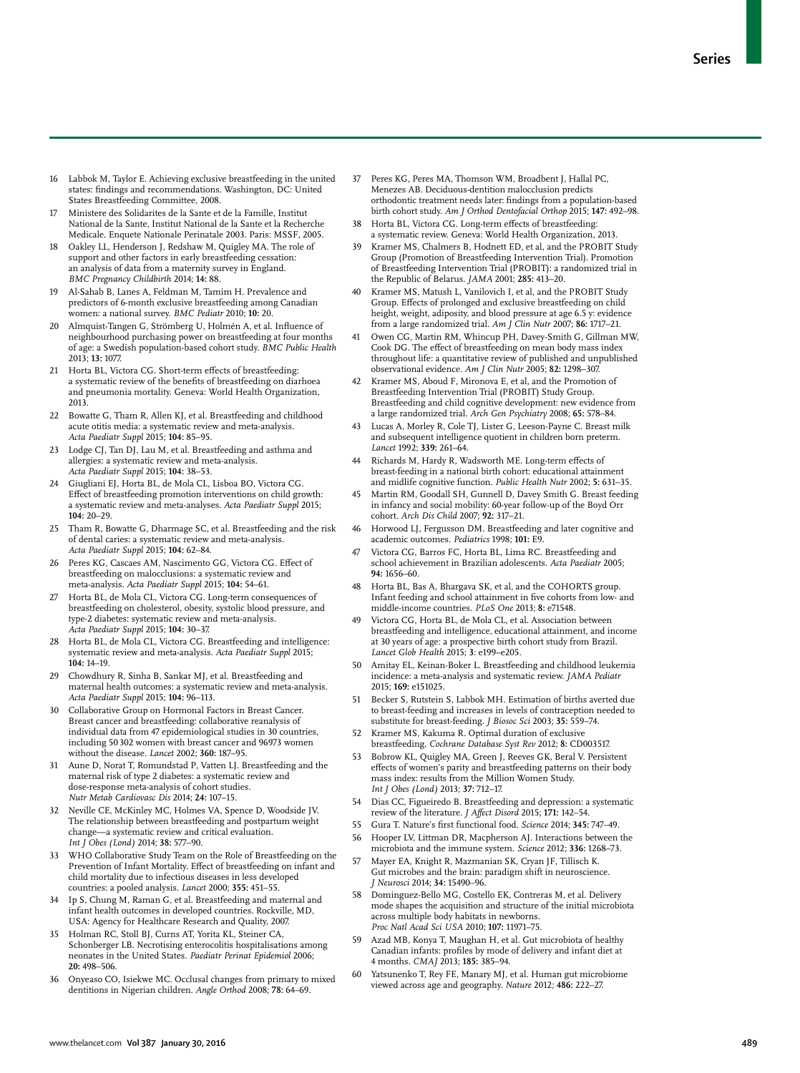- 16 Labbok M, Taylor E. Achieving exclusive breastfeeding in the united states: findings and recommendations. Washington, DC: United States Breastfeeding Committee, 2008.
- 17 Ministere des Solidarites de la Sante et de la Famille, Institut National de la Sante, Institut National de la Sante et la Recherche Medicale. Enquete Nationale Perinatale 2003. Paris: MSSF, 2005.
- 18 Oakley LL, Henderson J, Redshaw M, Quigley MA. The role of support and other factors in early breastfeeding cessation: an analysis of data from a maternity survey in England. *BMC Pregnancy Childbirth* 2014; **14:** 88.
- 19 Al-Sahab B, Lanes A, Feldman M, Tamim H. Prevalence and predictors of 6-month exclusive breastfeeding among Canadian women: a national survey. *BMC Pediatr* 2010; **10:** 20.
- 20 Almquist-Tangen G, Strömberg U, Holmén A, et al. Influence of neighbourhood purchasing power on breastfeeding at four months of age: a Swedish population-based cohort study. *BMC Public Health* 2013; **13:** 1077.
- 21 Horta BL, Victora CG. Short-term effects of breastfeeding: a systematic review of the benefits of breastfeeding on diarhoea and pneumonia mortality. Geneva: World Health Organization, 2013.
- 22 Bowatte G, Tham R, Allen KJ, et al. Breastfeeding and childhood acute otitis media: a systematic review and meta-analysis. *Acta Paediatr Suppl* 2015; **104:** 85–95.
- 23 Lodge CJ, Tan DJ, Lau M, et al. Breastfeeding and asthma and allergies: a systematic review and meta-analysis. *Acta Paediatr Suppl* 2015; **104:** 38–53.
- 24 Giugliani EJ, Horta BL, de Mola CL, Lisboa BO, Victora CG. Eff ect of breastfeeding promotion interventions on child growth: a systematic review and meta-analyses. *Acta Paediatr Suppl* 2015; **104:** 20–29.
- 25 Tham R, Bowatte G, Dharmage SC, et al. Breastfeeding and the risk of dental caries: a systematic review and meta-analysis. *Acta Paediatr Suppl* 2015; **104:** 62–84.
- 26 Peres KG, Cascaes AM, Nascimento GG, Victora CG. Effect of breastfeeding on malocclusions: a systematic review and meta-analysis. *Acta Paediatr Suppl* 2015; **104:** 54–61.
- Horta BL, de Mola CL, Victora CG. Long-term consequences of breastfeeding on cholesterol, obesity, systolic blood pressure, and type-2 diabetes: systematic review and meta-analysis. *Acta Paediatr Suppl* 2015; **104:** 30–37.
- 28 Horta BL, de Mola CL, Victora CG. Breastfeeding and intelligence: systematic review and meta-analysis. *Acta Paediatr Suppl* 2015; **104:** 14–19.
- 29 Chowdhury R, Sinha B, Sankar MJ, et al. Breastfeeding and maternal health outcomes: a systematic review and meta-analysis. *Acta Paediatr Suppl* 2015; **104:** 96–113.
- Collaborative Group on Hormonal Factors in Breast Cancer. Breast cancer and breastfeeding: collaborative reanalysis of individual data from 47 epidemiological studies in 30 countries, including 50 302 women with breast cancer and 96973 women without the disease. *Lancet* 2002; **360:** 187–95.
- 31 Aune D, Norat T, Romundstad P, Vatten LJ. Breastfeeding and the maternal risk of type 2 diabetes: a systematic review and dose-response meta-analysis of cohort studies. *Nutr Metab Cardiovasc Dis* 2014; **24:** 107–15.
- 32 Neville CE, McKinley MC, Holmes VA, Spence D, Woodside JV. The relationship between breastfeeding and postpartum weight change—a systematic review and critical evaluation. *Int J Obes (Lond)* 2014; **38:** 577–90.
- 33 WHO Collaborative Study Team on the Role of Breastfeeding on the Prevention of Infant Mortality. Effect of breastfeeding on infant and child mortality due to infectious diseases in less developed countries: a pooled analysis. *Lancet* 2000; **355:** 451–55.
- Ip S, Chung M, Raman G, et al. Breastfeeding and maternal and infant health outcomes in developed countries. Rockville, MD, USA: Agency for Healthcare Research and Quality, 2007.
- 35 Holman RC, Stoll BJ, Curns AT, Yorita KL, Steiner CA, Schonberger LB. Necrotising enterocolitis hospitalisations among neonates in the United States. *Paediatr Perinat Epidemiol* 2006; **20:** 498–506.
- 36 Onyeaso CO, Isiekwe MC. Occlusal changes from primary to mixed dentitions in Nigerian children. *Angle Orthod* 2008; **78:** 64–69.
- 37 Peres KG, Peres MA, Thomson WM, Broadbent J, Hallal PC, Menezes AB. Deciduous-dentition malocclusion predicts orthodontic treatment needs later: findings from a population-based birth cohort study. *Am J Orthod Dentofacial Orthop* 2015; **147:** 492–98.
- 38 Horta BL, Victora CG. Long-term effects of breastfeeding: a systematic review. Geneva: World Health Organization, 2013.
- 39 Kramer MS, Chalmers B, Hodnett ED, et al, and the PROBIT Study Group (Promotion of Breastfeeding Intervention Trial). Promotion of Breastfeeding Intervention Trial (PROBIT): a randomized trial in the Republic of Belarus. *JAMA* 2001; **285:** 413–20.
- Kramer MS, Matush L, Vanilovich I, et al, and the PROBIT Study Group. Effects of prolonged and exclusive breastfeeding on child height, weight, adiposity, and blood pressure at age 6.5 y: evidence from a large randomized trial. *Am J Clin Nutr* 2007; **86:** 1717–21.
- 41 Owen CG, Martin RM, Whincup PH, Davey-Smith G, Gillman MW, Cook DG. The effect of breastfeeding on mean body mass index throughout life: a quantitative review of published and unpublished observational evidence. *Am J Clin Nutr* 2005; **82:** 1298–307.
- Kramer MS, Aboud F, Mironova E, et al, and the Promotion of Breastfeeding Intervention Trial (PROBIT) Study Group. Breastfeeding and child cognitive development: new evidence from a large randomized trial. *Arch Gen Psychiatry* 2008; **65:** 578–84.
- 43 Lucas A, Morley R, Cole TJ, Lister G, Leeson-Payne C. Breast milk and subsequent intelligence quotient in children born preterm. *Lancet* 1992; **339:** 261–64.
- Richards M, Hardy R, Wadsworth ME. Long-term effects of breast-feeding in a national birth cohort: educational attainment and midlife cognitive function. *Public Health Nutr* 2002; **5:** 631–35.
- 45 Martin RM, Goodall SH, Gunnell D, Davey Smith G. Breast feeding in infancy and social mobility: 60-year follow-up of the Boyd Orr cohort. *Arch Dis Child* 2007; **92:** 317–21.
- Horwood LJ, Fergusson DM. Breastfeeding and later cognitive and academic outcomes. *Pediatrics* 1998; **101:** E9.
- 47 Victora CG, Barros FC, Horta BL, Lima RC. Breastfeeding and school achievement in Brazilian adolescents. *Acta Paediatr* 2005; **94:** 1656–60.
- 48 Horta BL, Bas A, Bhargava SK, et al, and the COHORTS group. Infant feeding and school attainment in five cohorts from low- and middle-income countries. *PLoS One* 2013; **8:** e71548.
- Victora CG, Horta BL, de Mola CL, et al. Association between breastfeeding and intelligence, educational attainment, and income at 30 years of age: a prospective birth cohort study from Brazil. *Lancet Glob Health* 2015; **3**: e199–e205.
- Amitay EL, Keinan-Boker L. Breastfeeding and childhood leukemia incidence: a meta-analysis and systematic review. *JAMA Pediatr* 2015; **169:** e151025.
- 51 Becker S, Rutstein S, Labbok MH. Estimation of births averted due to breast-feeding and increases in levels of contraception needed to substitute for breast-feeding. *J Biosoc Sci* 2003; **35:** 559–74.
- 52 Kramer MS, Kakuma R. Optimal duration of exclusive breastfeeding. *Cochrane Database Syst Rev* 2012; **8:** CD003517.
- 53 Bobrow KL, Quigley MA, Green J, Reeves GK, Beral V. Persistent effects of women's parity and breastfeeding patterns on their body mass index: results from the Million Women Study. *Int J Obes (Lond)* 2013; **37:** 712–17.
- 54 Dias CC, Figueiredo B. Breastfeeding and depression: a systematic review of the literature. *J Affect Disord* 2015; **171:** 142–54.
- 55 Gura T. Nature's first functional food. *Science* 2014; 345: 747-49
- 56 Hooper LV, Littman DR, Macpherson AJ. Interactions between the microbiota and the immune system. *Science* 2012; **336:** 1268–73.
- 57 Mayer EA, Knight R, Mazmanian SK, Cryan JF, Tillisch K. Gut microbes and the brain: paradigm shift in neuroscience. *J Neurosci* 2014; **34:** 15490–96.
- Dominguez-Bello MG, Costello EK, Contreras M, et al. Delivery mode shapes the acquisition and structure of the initial microbiota across multiple body habitats in newborns. *Proc Natl Acad Sci USA* 2010; **107:** 11971–75.
- Azad MB, Konya T, Maughan H, et al. Gut microbiota of healthy Canadian infants: profiles by mode of delivery and infant diet at 4 months. *CMAJ* 2013; **185:** 385–94.
- 60 Yatsunenko T, Rey FE, Manary MJ, et al. Human gut microbiome viewed across age and geography. *Nature* 2012; **486:** 222–27.